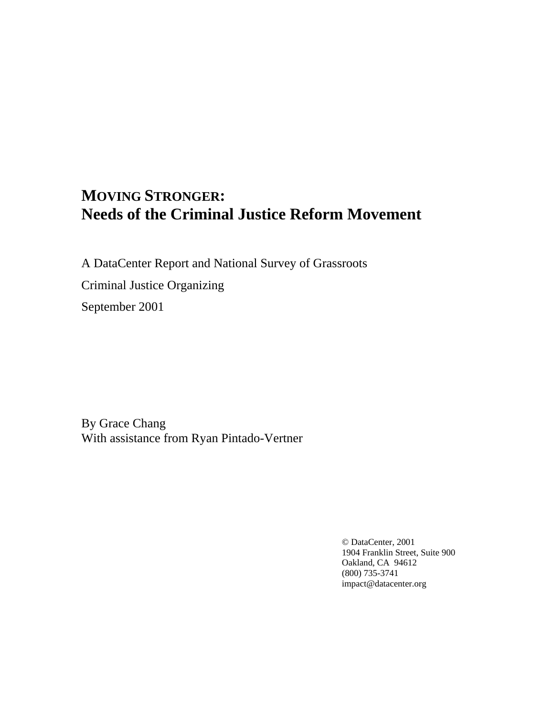# **MOVING STRONGER: Needs of the Criminal Justice Reform Movement**

A DataCenter Report and National Survey of Grassroots Criminal Justice Organizing September 2001

By Grace Chang With assistance from Ryan Pintado-Vertner

> © DataCenter, 2001 1904 Franklin Street, Suite 900 Oakland, CA 94612 (800) 735-3741 [impact@datacenter.org](mailto:impact@datacenter.org)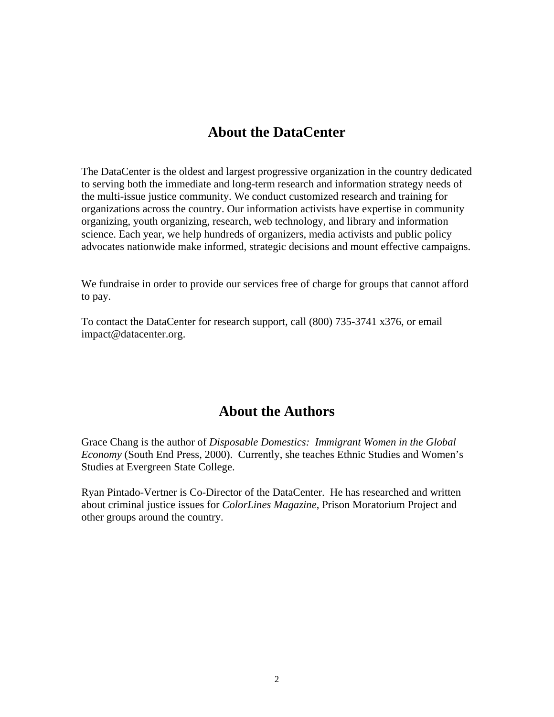## **About the DataCenter**

The DataCenter is the oldest and largest progressive organization in the country dedicated to serving both the immediate and long-term research and information strategy needs of the multi-issue justice community. We conduct customized research and training for organizations across the country. Our information activists have expertise in community organizing, youth organizing, research, web technology, and library and information science. Each year, we help hundreds of organizers, media activists and public policy advocates nationwide make informed, strategic decisions and mount effective campaigns.

We fundraise in order to provide our services free of charge for groups that cannot afford to pay.

To contact the DataCenter for research support, call (800) 735-3741 x376, or email impact@datacenter.org.

## **About the Authors**

Grace Chang is the author of *Disposable Domestics: Immigrant Women in the Global Economy* (South End Press, 2000). Currently, she teaches Ethnic Studies and Women's Studies at Evergreen State College.

Ryan Pintado-Vertner is Co-Director of the DataCenter. He has researched and written about criminal justice issues for *ColorLines Magazine*, Prison Moratorium Project and other groups around the country.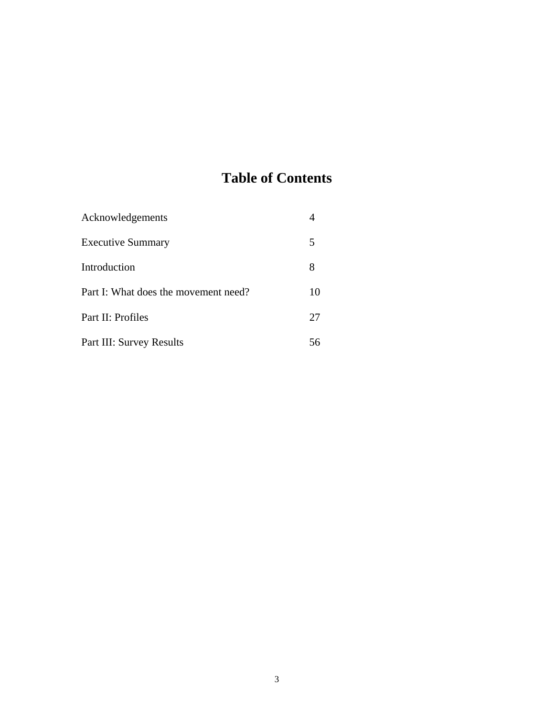# **Table of Contents**

| Acknowledgements                     |    |
|--------------------------------------|----|
| <b>Executive Summary</b>             | 5  |
| Introduction                         | 8  |
| Part I: What does the movement need? | 10 |
| Part II: Profiles                    | 27 |
| Part III: Survey Results             |    |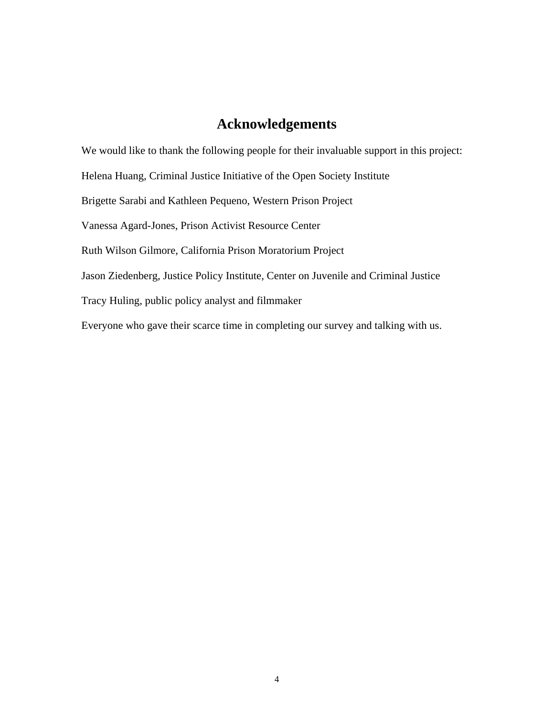## **Acknowledgements**

We would like to thank the following people for their invaluable support in this project: Helena Huang, Criminal Justice Initiative of the Open Society Institute Brigette Sarabi and Kathleen Pequeno, Western Prison Project Vanessa Agard-Jones, Prison Activist Resource Center Ruth Wilson Gilmore, California Prison Moratorium Project Jason Ziedenberg, Justice Policy Institute, Center on Juvenile and Criminal Justice Tracy Huling, public policy analyst and filmmaker Everyone who gave their scarce time in completing our survey and talking with us.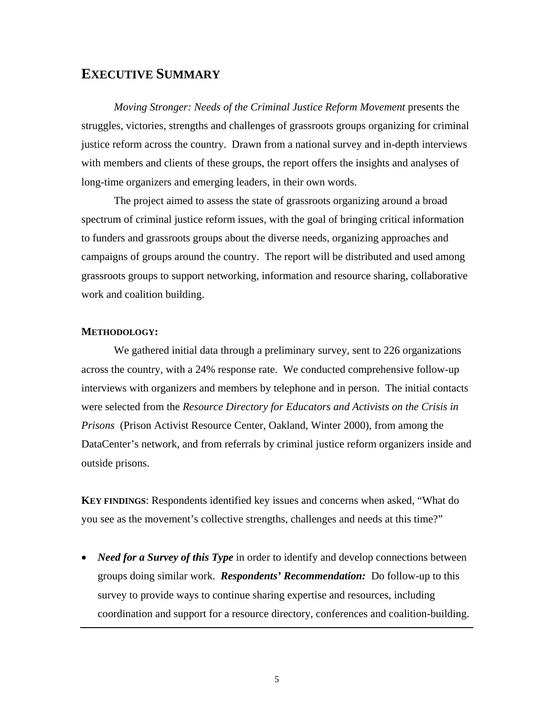## **EXECUTIVE SUMMARY**

*Moving Stronger: Needs of the Criminal Justice Reform Movement* presents the struggles, victories, strengths and challenges of grassroots groups organizing for criminal justice reform across the country. Drawn from a national survey and in-depth interviews with members and clients of these groups, the report offers the insights and analyses of long-time organizers and emerging leaders, in their own words.

The project aimed to assess the state of grassroots organizing around a broad spectrum of criminal justice reform issues, with the goal of bringing critical information to funders and grassroots groups about the diverse needs, organizing approaches and campaigns of groups around the country. The report will be distributed and used among grassroots groups to support networking, information and resource sharing, collaborative work and coalition building.

### **METHODOLOGY:**

We gathered initial data through a preliminary survey, sent to 226 organizations across the country, with a 24% response rate. We conducted comprehensive follow-up interviews with organizers and members by telephone and in person. The initial contacts were selected from the *Resource Directory for Educators and Activists on the Crisis in Prisons* (Prison Activist Resource Center, Oakland, Winter 2000), from among the DataCenter's network, and from referrals by criminal justice reform organizers inside and outside prisons.

**KEY FINDINGS**: Respondents identified key issues and concerns when asked, "What do you see as the movement's collective strengths, challenges and needs at this time?"

• *Need for a Survey of this Type* in order to identify and develop connections between groups doing similar work. *Respondents' Recommendation:* Do follow-up to this survey to provide ways to continue sharing expertise and resources, including coordination and support for a resource directory, conferences and coalition-building.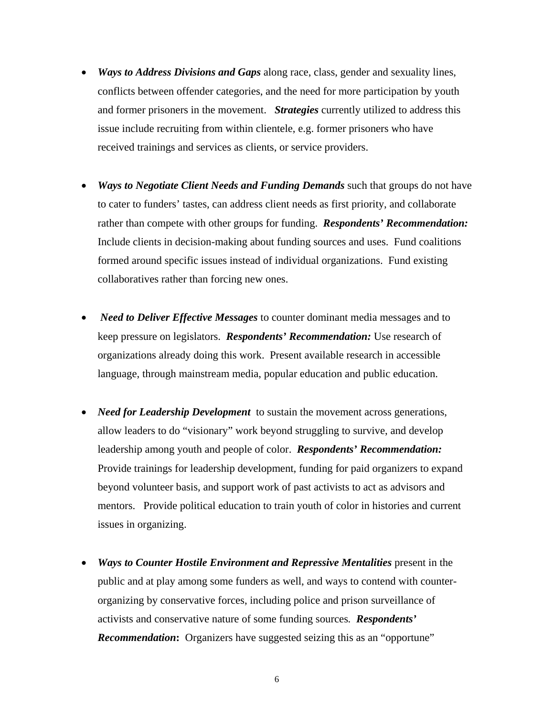- *Ways to Address Divisions and Gaps* along race, class, gender and sexuality lines, conflicts between offender categories, and the need for more participation by youth and former prisoners in the movement. *Strategies* currently utilized to address this issue include recruiting from within clientele, e.g. former prisoners who have received trainings and services as clients, or service providers.
- *Ways to Negotiate Client Needs and Funding Demands* such that groups do not have to cater to funders' tastes, can address client needs as first priority, and collaborate rather than compete with other groups for funding. *Respondents' Recommendation:* Include clients in decision-making about funding sources and uses. Fund coalitions formed around specific issues instead of individual organizations. Fund existing collaboratives rather than forcing new ones.
- *Need to Deliver Effective Messages* to counter dominant media messages and to keep pressure on legislators. *Respondents' Recommendation:* Use research of organizations already doing this work. Present available research in accessible language, through mainstream media, popular education and public education.
- *Need for Leadership Development*to sustain the movement across generations, allow leaders to do "visionary" work beyond struggling to survive, and develop leadership among youth and people of color. *Respondents' Recommendation:* Provide trainings for leadership development, funding for paid organizers to expand beyond volunteer basis, and support work of past activists to act as advisors and mentors. Provide political education to train youth of color in histories and current issues in organizing.
- *Ways to Counter Hostile Environment and Repressive Mentalities present in the* public and at play among some funders as well, and ways to contend with counterorganizing by conservative forces, including police and prison surveillance of activists and conservative nature of some funding sources*. Respondents' Recommendation*: Organizers have suggested seizing this as an "opportune"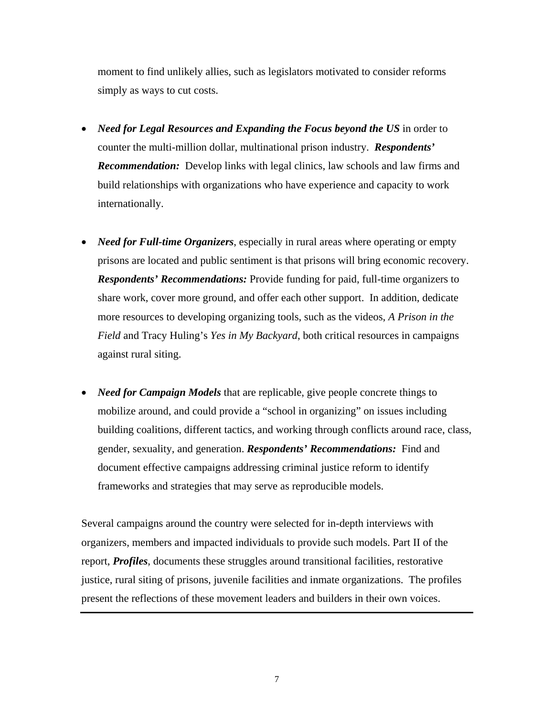moment to find unlikely allies, such as legislators motivated to consider reforms simply as ways to cut costs.

- *Need for Legal Resources and Expanding the Focus beyond the US* in order to counter the multi-million dollar, multinational prison industry. *Respondents' Recommendation:* Develop links with legal clinics, law schools and law firms and build relationships with organizations who have experience and capacity to work internationally.
- *Need for Full-time Organizers*, especially in rural areas where operating or empty prisons are located and public sentiment is that prisons will bring economic recovery. *Respondents' Recommendations:* Provide funding for paid, full-time organizers to share work, cover more ground, and offer each other support. In addition, dedicate more resources to developing organizing tools, such as the videos, *A Prison in the Field* and Tracy Huling's *Yes in My Backyard*, both critical resources in campaigns against rural siting.
- *Need for Campaign Models* that are replicable, give people concrete things to mobilize around, and could provide a "school in organizing" on issues including building coalitions, different tactics, and working through conflicts around race, class, gender, sexuality, and generation. *Respondents' Recommendations:* Find and document effective campaigns addressing criminal justice reform to identify frameworks and strategies that may serve as reproducible models.

Several campaigns around the country were selected for in-depth interviews with organizers, members and impacted individuals to provide such models. Part II of the report, *Profiles*, documents these struggles around transitional facilities, restorative justice, rural siting of prisons, juvenile facilities and inmate organizations. The profiles present the reflections of these movement leaders and builders in their own voices.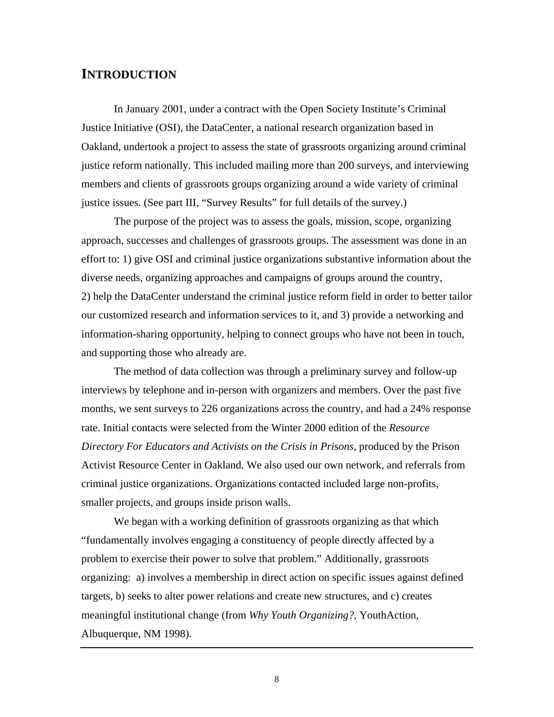### **INTRODUCTION**

In January 2001, under a contract with the Open Society Institute's Criminal Justice Initiative (OSI), the DataCenter, a national research organization based in Oakland, undertook a project to assess the state of grassroots organizing around criminal justice reform nationally. This included mailing more than 200 surveys, and interviewing members and clients of grassroots groups organizing around a wide variety of criminal justice issues. (See part III, "Survey Results" for full details of the survey.)

The purpose of the project was to assess the goals, mission, scope, organizing approach, successes and challenges of grassroots groups. The assessment was done in an effort to: 1) give OSI and criminal justice organizations substantive information about the diverse needs, organizing approaches and campaigns of groups around the country, 2) help the DataCenter understand the criminal justice reform field in order to better tailor our customized research and information services to it, and 3) provide a networking and information-sharing opportunity, helping to connect groups who have not been in touch, and supporting those who already are.

The method of data collection was through a preliminary survey and follow-up interviews by telephone and in-person with organizers and members. Over the past five months, we sent surveys to 226 organizations across the country, and had a 24% response rate. Initial contacts were selected from the Winter 2000 edition of the *Resource Directory For Educators and Activists on the Crisis in Prisons*, produced by the Prison Activist Resource Center in Oakland. We also used our own network, and referrals from criminal justice organizations. Organizations contacted included large non-profits, smaller projects, and groups inside prison walls.

We began with a working definition of grassroots organizing as that which "fundamentally involves engaging a constituency of people directly affected by a problem to exercise their power to solve that problem." Additionally, grassroots organizing: a) involves a membership in direct action on specific issues against defined targets, b) seeks to alter power relations and create new structures, and c) creates meaningful institutional change (from *Why Youth Organizing?*, YouthAction, Albuquerque, NM 1998).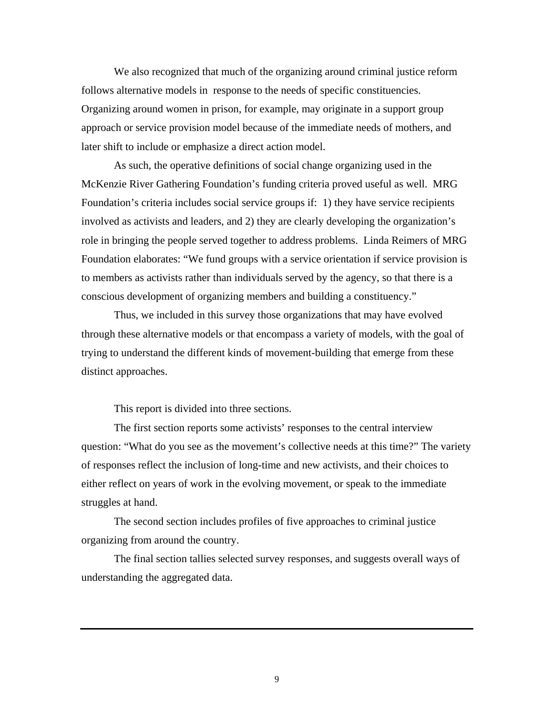We also recognized that much of the organizing around criminal justice reform follows alternative models in response to the needs of specific constituencies. Organizing around women in prison, for example, may originate in a support group approach or service provision model because of the immediate needs of mothers, and later shift to include or emphasize a direct action model.

As such, the operative definitions of social change organizing used in the McKenzie River Gathering Foundation's funding criteria proved useful as well. MRG Foundation's criteria includes social service groups if: 1) they have service recipients involved as activists and leaders, and 2) they are clearly developing the organization's role in bringing the people served together to address problems. Linda Reimers of MRG Foundation elaborates: "We fund groups with a service orientation if service provision is to members as activists rather than individuals served by the agency, so that there is a conscious development of organizing members and building a constituency."

Thus, we included in this survey those organizations that may have evolved through these alternative models or that encompass a variety of models, with the goal of trying to understand the different kinds of movement-building that emerge from these distinct approaches.

This report is divided into three sections.

The first section reports some activists' responses to the central interview question: "What do you see as the movement's collective needs at this time?" The variety of responses reflect the inclusion of long-time and new activists, and their choices to either reflect on years of work in the evolving movement, or speak to the immediate struggles at hand.

The second section includes profiles of five approaches to criminal justice organizing from around the country.

The final section tallies selected survey responses, and suggests overall ways of understanding the aggregated data.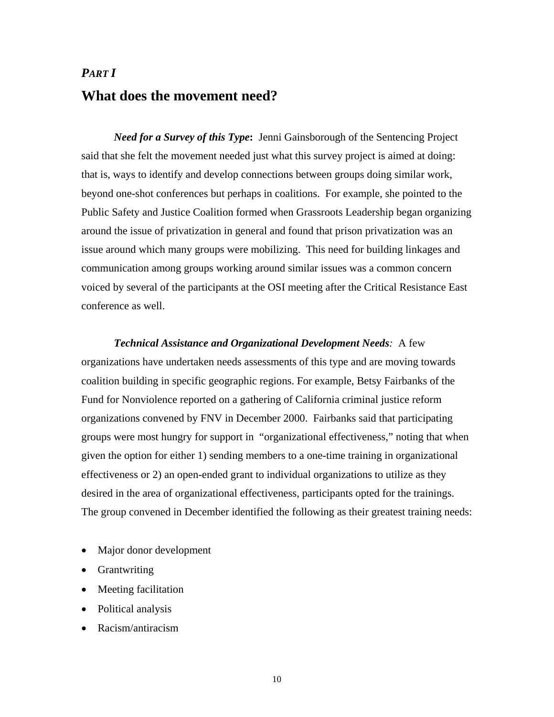# *PART I*  **What does the movement need?**

*Need for a Survey of this Type***:** Jenni Gainsborough of the Sentencing Project said that she felt the movement needed just what this survey project is aimed at doing: that is, ways to identify and develop connections between groups doing similar work, beyond one-shot conferences but perhaps in coalitions. For example, she pointed to the Public Safety and Justice Coalition formed when Grassroots Leadership began organizing around the issue of privatization in general and found that prison privatization was an issue around which many groups were mobilizing. This need for building linkages and communication among groups working around similar issues was a common concern voiced by several of the participants at the OSI meeting after the Critical Resistance East conference as well.

*Technical Assistance and Organizational Development Needs:* A few organizations have undertaken needs assessments of this type and are moving towards coalition building in specific geographic regions. For example, Betsy Fairbanks of the Fund for Nonviolence reported on a gathering of California criminal justice reform organizations convened by FNV in December 2000. Fairbanks said that participating groups were most hungry for support in "organizational effectiveness," noting that when given the option for either 1) sending members to a one-time training in organizational effectiveness or 2) an open-ended grant to individual organizations to utilize as they desired in the area of organizational effectiveness, participants opted for the trainings. The group convened in December identified the following as their greatest training needs:

- Major donor development
- Grantwriting
- Meeting facilitation
- Political analysis
- Racism/antiracism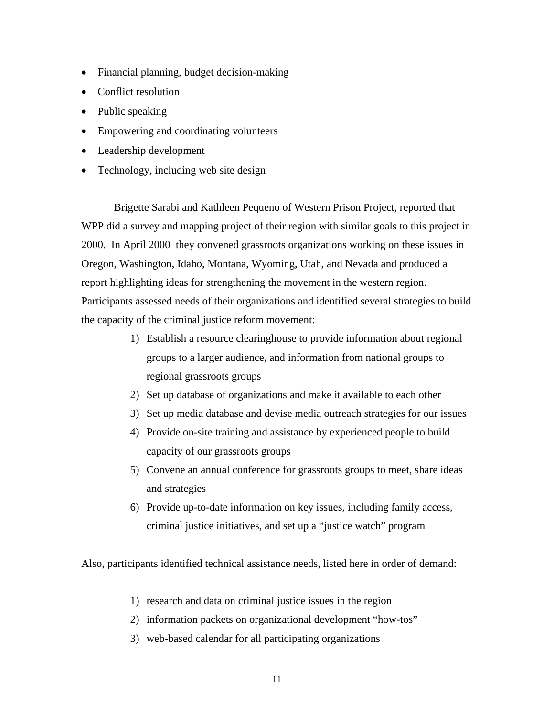- Financial planning, budget decision-making
- Conflict resolution
- Public speaking
- Empowering and coordinating volunteers
- Leadership development
- Technology, including web site design

Brigette Sarabi and Kathleen Pequeno of Western Prison Project, reported that WPP did a survey and mapping project of their region with similar goals to this project in 2000. In April 2000 they convened grassroots organizations working on these issues in Oregon, Washington, Idaho, Montana, Wyoming, Utah, and Nevada and produced a report highlighting ideas for strengthening the movement in the western region. Participants assessed needs of their organizations and identified several strategies to build the capacity of the criminal justice reform movement:

- 1) Establish a resource clearinghouse to provide information about regional groups to a larger audience, and information from national groups to regional grassroots groups
- 2) Set up database of organizations and make it available to each other
- 3) Set up media database and devise media outreach strategies for our issues
- 4) Provide on-site training and assistance by experienced people to build capacity of our grassroots groups
- 5) Convene an annual conference for grassroots groups to meet, share ideas and strategies
- 6) Provide up-to-date information on key issues, including family access, criminal justice initiatives, and set up a "justice watch" program

Also, participants identified technical assistance needs, listed here in order of demand:

- 1) research and data on criminal justice issues in the region
- 2) information packets on organizational development "how-tos"
- 3) web-based calendar for all participating organizations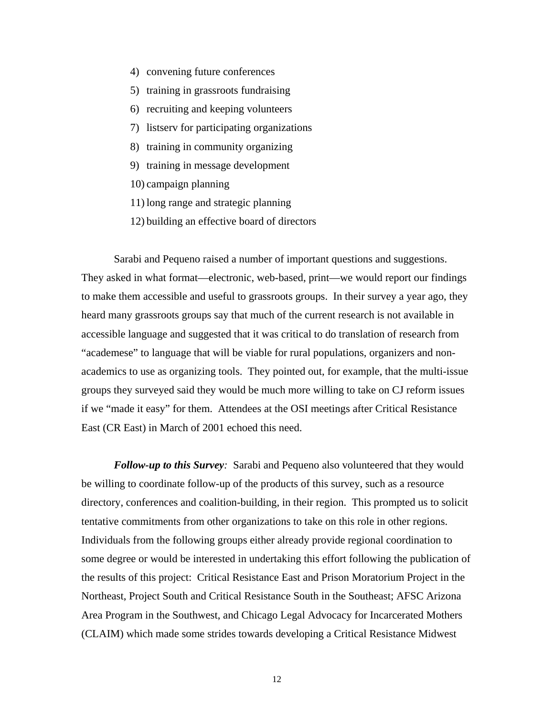- 4) convening future conferences
- 5) training in grassroots fundraising
- 6) recruiting and keeping volunteers
- 7) listserv for participating organizations
- 8) training in community organizing
- 9) training in message development
- 10) campaign planning
- 11) long range and strategic planning
- 12) building an effective board of directors

Sarabi and Pequeno raised a number of important questions and suggestions. They asked in what format—electronic, web-based, print—we would report our findings to make them accessible and useful to grassroots groups. In their survey a year ago, they heard many grassroots groups say that much of the current research is not available in accessible language and suggested that it was critical to do translation of research from "academese" to language that will be viable for rural populations, organizers and nonacademics to use as organizing tools. They pointed out, for example, that the multi-issue groups they surveyed said they would be much more willing to take on CJ reform issues if we "made it easy" for them. Attendees at the OSI meetings after Critical Resistance East (CR East) in March of 2001 echoed this need.

*Follow-up to this Survey:* Sarabi and Pequeno also volunteered that they would be willing to coordinate follow-up of the products of this survey, such as a resource directory, conferences and coalition-building, in their region. This prompted us to solicit tentative commitments from other organizations to take on this role in other regions. Individuals from the following groups either already provide regional coordination to some degree or would be interested in undertaking this effort following the publication of the results of this project: Critical Resistance East and Prison Moratorium Project in the Northeast, Project South and Critical Resistance South in the Southeast; AFSC Arizona Area Program in the Southwest, and Chicago Legal Advocacy for Incarcerated Mothers (CLAIM) which made some strides towards developing a Critical Resistance Midwest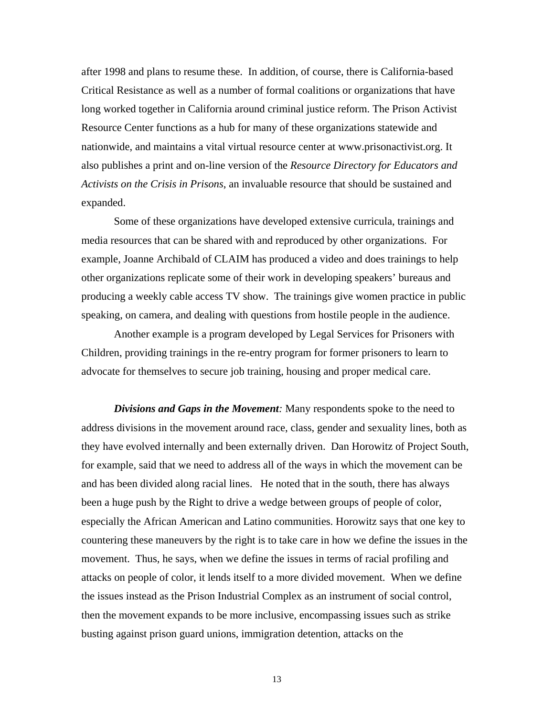after 1998 and plans to resume these. In addition, of course, there is California-based Critical Resistance as well as a number of formal coalitions or organizations that have long worked together in California around criminal justice reform. The Prison Activist Resource Center functions as a hub for many of these organizations statewide and nationwide, and maintains a vital virtual resource center at www.prisonactivist.org. It also publishes a print and on-line version of the *Resource Directory for Educators and Activists on the Crisis in Prisons*, an invaluable resource that should be sustained and expanded.

Some of these organizations have developed extensive curricula, trainings and media resources that can be shared with and reproduced by other organizations. For example, Joanne Archibald of CLAIM has produced a video and does trainings to help other organizations replicate some of their work in developing speakers' bureaus and producing a weekly cable access TV show. The trainings give women practice in public speaking, on camera, and dealing with questions from hostile people in the audience.

Another example is a program developed by Legal Services for Prisoners with Children, providing trainings in the re-entry program for former prisoners to learn to advocate for themselves to secure job training, housing and proper medical care.

*Divisions and Gaps in the Movement:* Many respondents spoke to the need to address divisions in the movement around race, class, gender and sexuality lines, both as they have evolved internally and been externally driven. Dan Horowitz of Project South, for example, said that we need to address all of the ways in which the movement can be and has been divided along racial lines. He noted that in the south, there has always been a huge push by the Right to drive a wedge between groups of people of color, especially the African American and Latino communities. Horowitz says that one key to countering these maneuvers by the right is to take care in how we define the issues in the movement. Thus, he says, when we define the issues in terms of racial profiling and attacks on people of color, it lends itself to a more divided movement. When we define the issues instead as the Prison Industrial Complex as an instrument of social control, then the movement expands to be more inclusive, encompassing issues such as strike busting against prison guard unions, immigration detention, attacks on the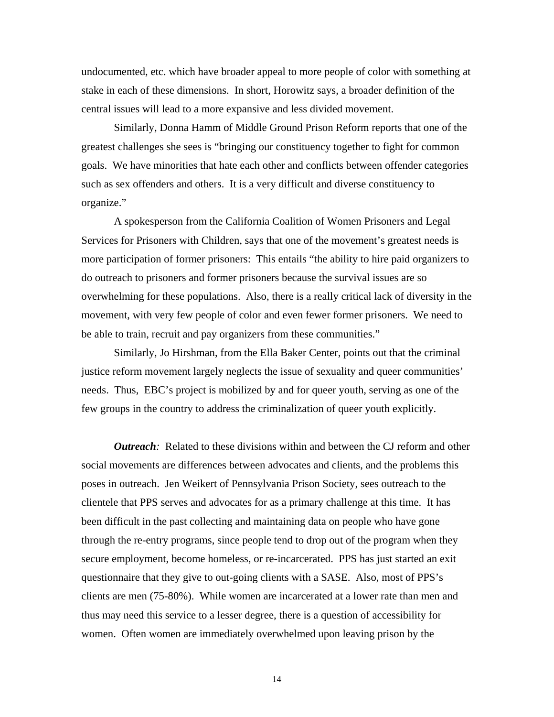undocumented, etc. which have broader appeal to more people of color with something at stake in each of these dimensions. In short, Horowitz says, a broader definition of the central issues will lead to a more expansive and less divided movement.

Similarly, Donna Hamm of Middle Ground Prison Reform reports that one of the greatest challenges she sees is "bringing our constituency together to fight for common goals. We have minorities that hate each other and conflicts between offender categories such as sex offenders and others. It is a very difficult and diverse constituency to organize."

A spokesperson from the California Coalition of Women Prisoners and Legal Services for Prisoners with Children, says that one of the movement's greatest needs is more participation of former prisoners: This entails "the ability to hire paid organizers to do outreach to prisoners and former prisoners because the survival issues are so overwhelming for these populations. Also, there is a really critical lack of diversity in the movement, with very few people of color and even fewer former prisoners. We need to be able to train, recruit and pay organizers from these communities."

Similarly, Jo Hirshman, from the Ella Baker Center, points out that the criminal justice reform movement largely neglects the issue of sexuality and queer communities' needs. Thus, EBC's project is mobilized by and for queer youth, serving as one of the few groups in the country to address the criminalization of queer youth explicitly.

*Outreach*: Related to these divisions within and between the CJ reform and other social movements are differences between advocates and clients, and the problems this poses in outreach. Jen Weikert of Pennsylvania Prison Society, sees outreach to the clientele that PPS serves and advocates for as a primary challenge at this time. It has been difficult in the past collecting and maintaining data on people who have gone through the re-entry programs, since people tend to drop out of the program when they secure employment, become homeless, or re-incarcerated. PPS has just started an exit questionnaire that they give to out-going clients with a SASE. Also, most of PPS's clients are men (75-80%). While women are incarcerated at a lower rate than men and thus may need this service to a lesser degree, there is a question of accessibility for women. Often women are immediately overwhelmed upon leaving prison by the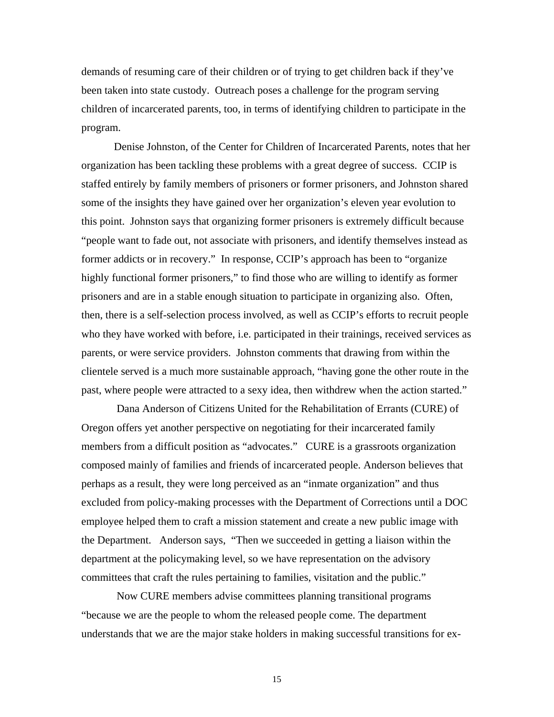demands of resuming care of their children or of trying to get children back if they've been taken into state custody. Outreach poses a challenge for the program serving children of incarcerated parents, too, in terms of identifying children to participate in the program.

Denise Johnston, of the Center for Children of Incarcerated Parents, notes that her organization has been tackling these problems with a great degree of success. CCIP is staffed entirely by family members of prisoners or former prisoners, and Johnston shared some of the insights they have gained over her organization's eleven year evolution to this point. Johnston says that organizing former prisoners is extremely difficult because "people want to fade out, not associate with prisoners, and identify themselves instead as former addicts or in recovery." In response, CCIP's approach has been to "organize highly functional former prisoners," to find those who are willing to identify as former prisoners and are in a stable enough situation to participate in organizing also. Often, then, there is a self-selection process involved, as well as CCIP's efforts to recruit people who they have worked with before, i.e. participated in their trainings, received services as parents, or were service providers. Johnston comments that drawing from within the clientele served is a much more sustainable approach, "having gone the other route in the past, where people were attracted to a sexy idea, then withdrew when the action started."

 Dana Anderson of Citizens United for the Rehabilitation of Errants (CURE) of Oregon offers yet another perspective on negotiating for their incarcerated family members from a difficult position as "advocates." CURE is a grassroots organization composed mainly of families and friends of incarcerated people. Anderson believes that perhaps as a result, they were long perceived as an "inmate organization" and thus excluded from policy-making processes with the Department of Corrections until a DOC employee helped them to craft a mission statement and create a new public image with the Department. Anderson says, "Then we succeeded in getting a liaison within the department at the policymaking level, so we have representation on the advisory committees that craft the rules pertaining to families, visitation and the public."

 Now CURE members advise committees planning transitional programs "because we are the people to whom the released people come. The department understands that we are the major stake holders in making successful transitions for ex-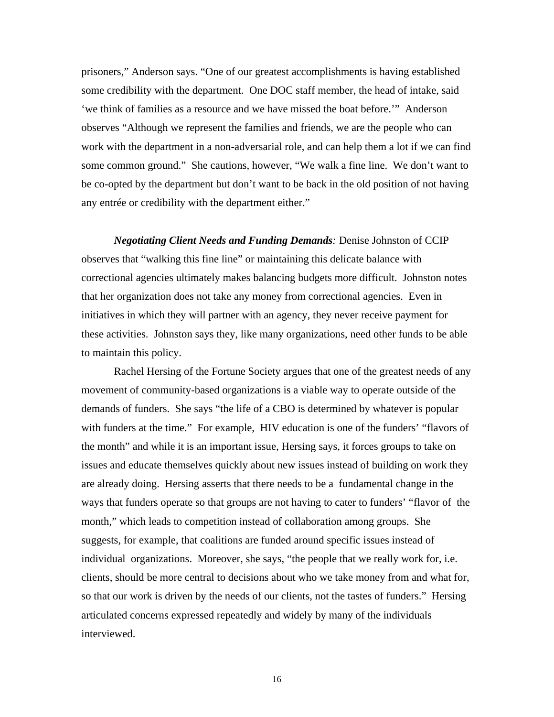prisoners," Anderson says. "One of our greatest accomplishments is having established some credibility with the department. One DOC staff member, the head of intake, said 'we think of families as a resource and we have missed the boat before.'" Anderson observes "Although we represent the families and friends, we are the people who can work with the department in a non-adversarial role, and can help them a lot if we can find some common ground." She cautions, however, "We walk a fine line. We don't want to be co-opted by the department but don't want to be back in the old position of not having any entrée or credibility with the department either."

*Negotiating Client Needs and Funding Demands:* Denise Johnston of CCIP observes that "walking this fine line" or maintaining this delicate balance with correctional agencies ultimately makes balancing budgets more difficult. Johnston notes that her organization does not take any money from correctional agencies. Even in initiatives in which they will partner with an agency, they never receive payment for these activities. Johnston says they, like many organizations, need other funds to be able to maintain this policy.

Rachel Hersing of the Fortune Society argues that one of the greatest needs of any movement of community-based organizations is a viable way to operate outside of the demands of funders. She says "the life of a CBO is determined by whatever is popular with funders at the time." For example, HIV education is one of the funders' "flavors of the month" and while it is an important issue, Hersing says, it forces groups to take on issues and educate themselves quickly about new issues instead of building on work they are already doing. Hersing asserts that there needs to be a fundamental change in the ways that funders operate so that groups are not having to cater to funders' "flavor of the month," which leads to competition instead of collaboration among groups. She suggests, for example, that coalitions are funded around specific issues instead of individual organizations. Moreover, she says, "the people that we really work for, i.e. clients, should be more central to decisions about who we take money from and what for, so that our work is driven by the needs of our clients, not the tastes of funders." Hersing articulated concerns expressed repeatedly and widely by many of the individuals interviewed.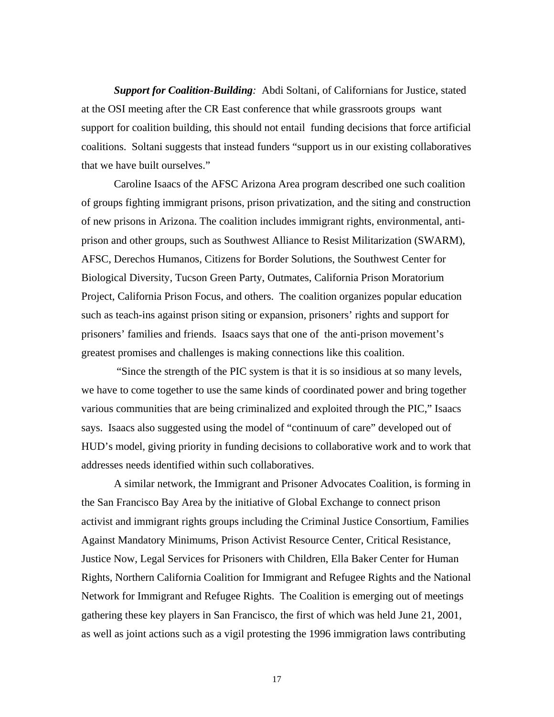*Support for Coalition-Building:*Abdi Soltani, of Californians for Justice, stated at the OSI meeting after the CR East conference that while grassroots groups want support for coalition building, this should not entail funding decisions that force artificial coalitions. Soltani suggests that instead funders "support us in our existing collaboratives that we have built ourselves."

Caroline Isaacs of the AFSC Arizona Area program described one such coalition of groups fighting immigrant prisons, prison privatization, and the siting and construction of new prisons in Arizona. The coalition includes immigrant rights, environmental, antiprison and other groups, such as Southwest Alliance to Resist Militarization (SWARM), AFSC, Derechos Humanos, Citizens for Border Solutions, the Southwest Center for Biological Diversity, Tucson Green Party, Outmates, California Prison Moratorium Project, California Prison Focus, and others. The coalition organizes popular education such as teach-ins against prison siting or expansion, prisoners' rights and support for prisoners' families and friends. Isaacs says that one of the anti-prison movement's greatest promises and challenges is making connections like this coalition.

"Since the strength of the PIC system is that it is so insidious at so many levels, we have to come together to use the same kinds of coordinated power and bring together various communities that are being criminalized and exploited through the PIC," Isaacs says. Isaacs also suggested using the model of "continuum of care" developed out of HUD's model, giving priority in funding decisions to collaborative work and to work that addresses needs identified within such collaboratives.

A similar network, the Immigrant and Prisoner Advocates Coalition, is forming in the San Francisco Bay Area by the initiative of Global Exchange to connect prison activist and immigrant rights groups including the Criminal Justice Consortium, Families Against Mandatory Minimums, Prison Activist Resource Center, Critical Resistance, Justice Now, Legal Services for Prisoners with Children, Ella Baker Center for Human Rights, Northern California Coalition for Immigrant and Refugee Rights and the National Network for Immigrant and Refugee Rights. The Coalition is emerging out of meetings gathering these key players in San Francisco, the first of which was held June 21, 2001, as well as joint actions such as a vigil protesting the 1996 immigration laws contributing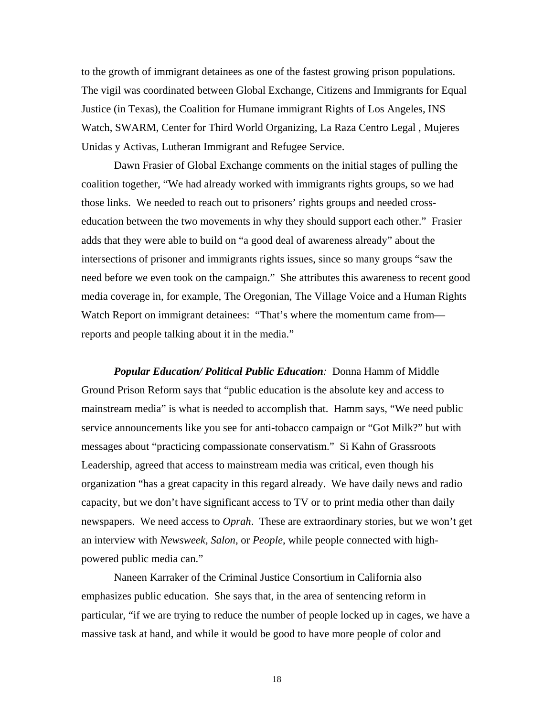to the growth of immigrant detainees as one of the fastest growing prison populations. The vigil was coordinated between Global Exchange, Citizens and Immigrants for Equal Justice (in Texas), the Coalition for Humane immigrant Rights of Los Angeles, INS Watch, SWARM, Center for Third World Organizing, La Raza Centro Legal , Mujeres Unidas y Activas, Lutheran Immigrant and Refugee Service.

Dawn Frasier of Global Exchange comments on the initial stages of pulling the coalition together, "We had already worked with immigrants rights groups, so we had those links. We needed to reach out to prisoners' rights groups and needed crosseducation between the two movements in why they should support each other." Frasier adds that they were able to build on "a good deal of awareness already" about the intersections of prisoner and immigrants rights issues, since so many groups "saw the need before we even took on the campaign." She attributes this awareness to recent good media coverage in, for example, The Oregonian, The Village Voice and a Human Rights Watch Report on immigrant detainees: "That's where the momentum came from reports and people talking about it in the media."

*Popular Education/ Political Public Education:* Donna Hamm of Middle Ground Prison Reform says that "public education is the absolute key and access to mainstream media" is what is needed to accomplish that. Hamm says, "We need public service announcements like you see for anti-tobacco campaign or "Got Milk?" but with messages about "practicing compassionate conservatism." Si Kahn of Grassroots Leadership, agreed that access to mainstream media was critical, even though his organization "has a great capacity in this regard already. We have daily news and radio capacity, but we don't have significant access to TV or to print media other than daily newspapers. We need access to *Oprah*. These are extraordinary stories, but we won't get an interview with *Newsweek, Salon*, or *People*, while people connected with highpowered public media can."

Naneen Karraker of the Criminal Justice Consortium in California also emphasizes public education. She says that, in the area of sentencing reform in particular, "if we are trying to reduce the number of people locked up in cages, we have a massive task at hand, and while it would be good to have more people of color and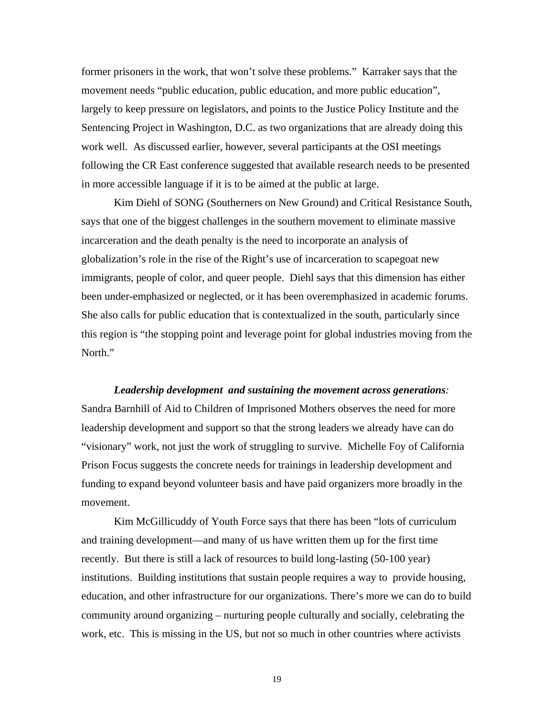former prisoners in the work, that won't solve these problems." Karraker says that the movement needs "public education, public education, and more public education", largely to keep pressure on legislators, and points to the Justice Policy Institute and the Sentencing Project in Washington, D.C. as two organizations that are already doing this work well. As discussed earlier, however, several participants at the OSI meetings following the CR East conference suggested that available research needs to be presented in more accessible language if it is to be aimed at the public at large.

Kim Diehl of SONG (Southerners on New Ground) and Critical Resistance South, says that one of the biggest challenges in the southern movement to eliminate massive incarceration and the death penalty is the need to incorporate an analysis of globalization's role in the rise of the Right's use of incarceration to scapegoat new immigrants, people of color, and queer people. Diehl says that this dimension has either been under-emphasized or neglected, or it has been overemphasized in academic forums. She also calls for public education that is contextualized in the south, particularly since this region is "the stopping point and leverage point for global industries moving from the North."

### *Leadership development and sustaining the movement across generations:*

Sandra Barnhill of Aid to Children of Imprisoned Mothers observes the need for more leadership development and support so that the strong leaders we already have can do "visionary" work, not just the work of struggling to survive. Michelle Foy of California Prison Focus suggests the concrete needs for trainings in leadership development and funding to expand beyond volunteer basis and have paid organizers more broadly in the movement.

Kim McGillicuddy of Youth Force says that there has been "lots of curriculum and training development—and many of us have written them up for the first time recently. But there is still a lack of resources to build long-lasting (50-100 year) institutions. Building institutions that sustain people requires a way to provide housing, education, and other infrastructure for our organizations. There's more we can do to build community around organizing – nurturing people culturally and socially, celebrating the work, etc. This is missing in the US, but not so much in other countries where activists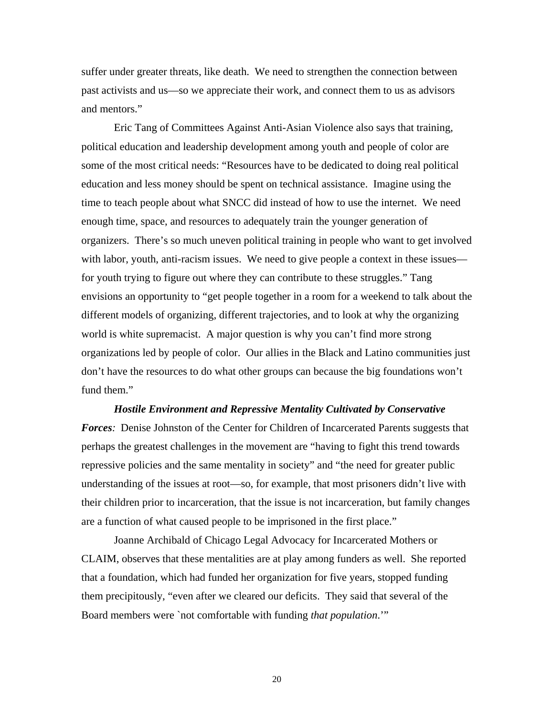suffer under greater threats, like death. We need to strengthen the connection between past activists and us—so we appreciate their work, and connect them to us as advisors and mentors."

Eric Tang of Committees Against Anti-Asian Violence also says that training, political education and leadership development among youth and people of color are some of the most critical needs: "Resources have to be dedicated to doing real political education and less money should be spent on technical assistance. Imagine using the time to teach people about what SNCC did instead of how to use the internet. We need enough time, space, and resources to adequately train the younger generation of organizers. There's so much uneven political training in people who want to get involved with labor, youth, anti-racism issues. We need to give people a context in these issues for youth trying to figure out where they can contribute to these struggles." Tang envisions an opportunity to "get people together in a room for a weekend to talk about the different models of organizing, different trajectories, and to look at why the organizing world is white supremacist. A major question is why you can't find more strong organizations led by people of color. Our allies in the Black and Latino communities just don't have the resources to do what other groups can because the big foundations won't fund them."

*Hostile Environment and Repressive Mentality Cultivated by Conservative Forces:* Denise Johnston of the Center for Children of Incarcerated Parents suggests that perhaps the greatest challenges in the movement are "having to fight this trend towards repressive policies and the same mentality in society" and "the need for greater public understanding of the issues at root—so, for example, that most prisoners didn't live with their children prior to incarceration, that the issue is not incarceration, but family changes are a function of what caused people to be imprisoned in the first place."

Joanne Archibald of Chicago Legal Advocacy for Incarcerated Mothers or CLAIM, observes that these mentalities are at play among funders as well. She reported that a foundation, which had funded her organization for five years, stopped funding them precipitously, "even after we cleared our deficits. They said that several of the Board members were `not comfortable with funding *that population*.'"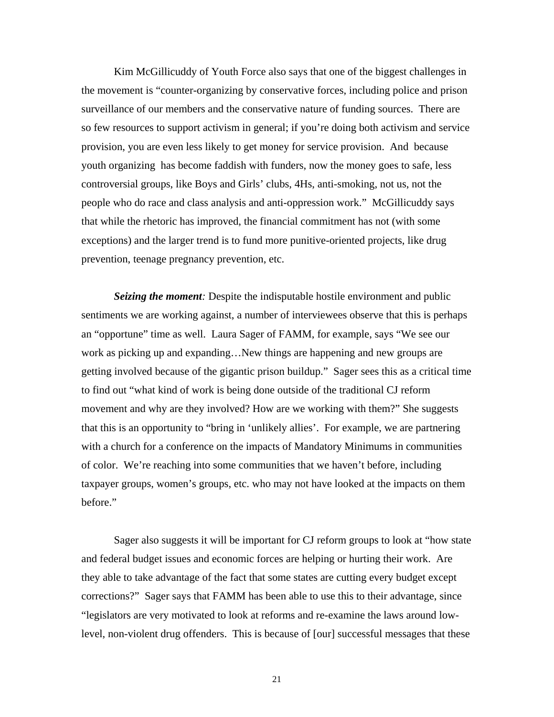Kim McGillicuddy of Youth Force also says that one of the biggest challenges in the movement is "counter-organizing by conservative forces, including police and prison surveillance of our members and the conservative nature of funding sources. There are so few resources to support activism in general; if you're doing both activism and service provision, you are even less likely to get money for service provision. And because youth organizing has become faddish with funders, now the money goes to safe, less controversial groups, like Boys and Girls' clubs, 4Hs, anti-smoking, not us, not the people who do race and class analysis and anti-oppression work." McGillicuddy says that while the rhetoric has improved, the financial commitment has not (with some exceptions) and the larger trend is to fund more punitive-oriented projects, like drug prevention, teenage pregnancy prevention, etc.

*Seizing the moment:* Despite the indisputable hostile environment and public sentiments we are working against, a number of interviewees observe that this is perhaps an "opportune" time as well. Laura Sager of FAMM, for example, says "We see our work as picking up and expanding…New things are happening and new groups are getting involved because of the gigantic prison buildup." Sager sees this as a critical time to find out "what kind of work is being done outside of the traditional CJ reform movement and why are they involved? How are we working with them?" She suggests that this is an opportunity to "bring in 'unlikely allies'. For example, we are partnering with a church for a conference on the impacts of Mandatory Minimums in communities of color. We're reaching into some communities that we haven't before, including taxpayer groups, women's groups, etc. who may not have looked at the impacts on them before."

Sager also suggests it will be important for CJ reform groups to look at "how state and federal budget issues and economic forces are helping or hurting their work. Are they able to take advantage of the fact that some states are cutting every budget except corrections?" Sager says that FAMM has been able to use this to their advantage, since "legislators are very motivated to look at reforms and re-examine the laws around lowlevel, non-violent drug offenders. This is because of [our] successful messages that these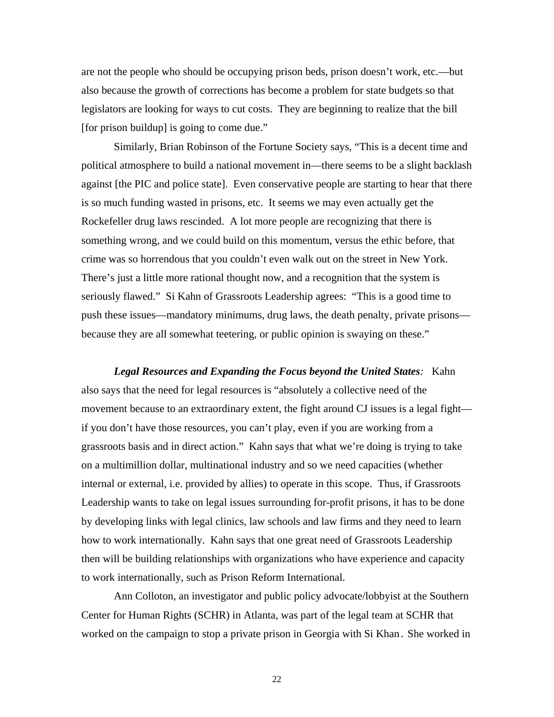are not the people who should be occupying prison beds, prison doesn't work, etc.—but also because the growth of corrections has become a problem for state budgets so that legislators are looking for ways to cut costs. They are beginning to realize that the bill [for prison buildup] is going to come due."

Similarly, Brian Robinson of the Fortune Society says, "This is a decent time and political atmosphere to build a national movement in—there seems to be a slight backlash against [the PIC and police state]. Even conservative people are starting to hear that there is so much funding wasted in prisons, etc. It seems we may even actually get the Rockefeller drug laws rescinded. A lot more people are recognizing that there is something wrong, and we could build on this momentum, versus the ethic before, that crime was so horrendous that you couldn't even walk out on the street in New York. There's just a little more rational thought now, and a recognition that the system is seriously flawed." Si Kahn of Grassroots Leadership agrees: "This is a good time to push these issues—mandatory minimums, drug laws, the death penalty, private prisons because they are all somewhat teetering, or public opinion is swaying on these."

*Legal Resources and Expanding the Focus beyond the United States:*Kahn also says that the need for legal resources is "absolutely a collective need of the movement because to an extraordinary extent, the fight around CJ issues is a legal fight if you don't have those resources, you can't play, even if you are working from a grassroots basis and in direct action." Kahn says that what we're doing is trying to take on a multimillion dollar, multinational industry and so we need capacities (whether internal or external, i.e. provided by allies) to operate in this scope. Thus, if Grassroots Leadership wants to take on legal issues surrounding for-profit prisons, it has to be done by developing links with legal clinics, law schools and law firms and they need to learn how to work internationally. Kahn says that one great need of Grassroots Leadership then will be building relationships with organizations who have experience and capacity to work internationally, such as Prison Reform International.

Ann Colloton, an investigator and public policy advocate/lobbyist at the Southern Center for Human Rights (SCHR) in Atlanta, was part of the legal team at SCHR that worked on the campaign to stop a private prison in Georgia with Si Khan. She worked in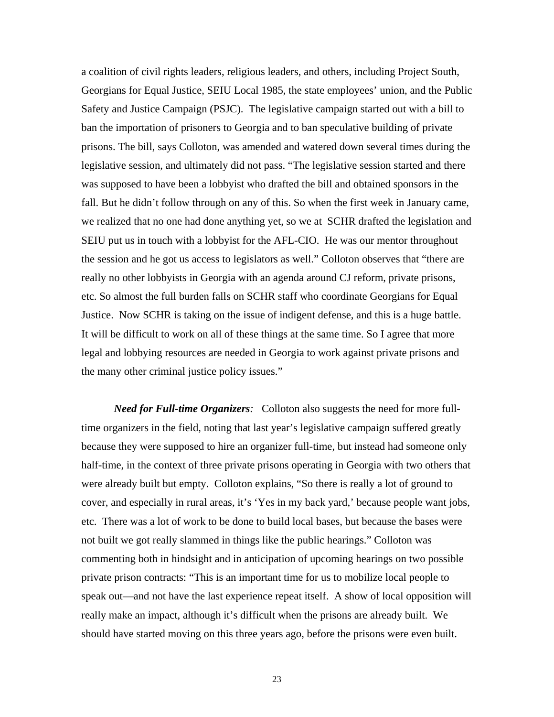a coalition of civil rights leaders, religious leaders, and others, including Project South, Georgians for Equal Justice, SEIU Local 1985, the state employees' union, and the Public Safety and Justice Campaign (PSJC). The legislative campaign started out with a bill to ban the importation of prisoners to Georgia and to ban speculative building of private prisons. The bill, says Colloton, was amended and watered down several times during the legislative session, and ultimately did not pass. "The legislative session started and there was supposed to have been a lobbyist who drafted the bill and obtained sponsors in the fall. But he didn't follow through on any of this. So when the first week in January came, we realized that no one had done anything yet, so we at SCHR drafted the legislation and SEIU put us in touch with a lobbyist for the AFL-CIO. He was our mentor throughout the session and he got us access to legislators as well." Colloton observes that "there are really no other lobbyists in Georgia with an agenda around CJ reform, private prisons, etc. So almost the full burden falls on SCHR staff who coordinate Georgians for Equal Justice. Now SCHR is taking on the issue of indigent defense, and this is a huge battle. It will be difficult to work on all of these things at the same time. So I agree that more legal and lobbying resources are needed in Georgia to work against private prisons and the many other criminal justice policy issues."

*Need for Full-time Organizers:* Colloton also suggests the need for more fulltime organizers in the field, noting that last year's legislative campaign suffered greatly because they were supposed to hire an organizer full-time, but instead had someone only half-time, in the context of three private prisons operating in Georgia with two others that were already built but empty. Colloton explains, "So there is really a lot of ground to cover, and especially in rural areas, it's 'Yes in my back yard,' because people want jobs, etc. There was a lot of work to be done to build local bases, but because the bases were not built we got really slammed in things like the public hearings." Colloton was commenting both in hindsight and in anticipation of upcoming hearings on two possible private prison contracts: "This is an important time for us to mobilize local people to speak out—and not have the last experience repeat itself. A show of local opposition will really make an impact, although it's difficult when the prisons are already built. We should have started moving on this three years ago, before the prisons were even built.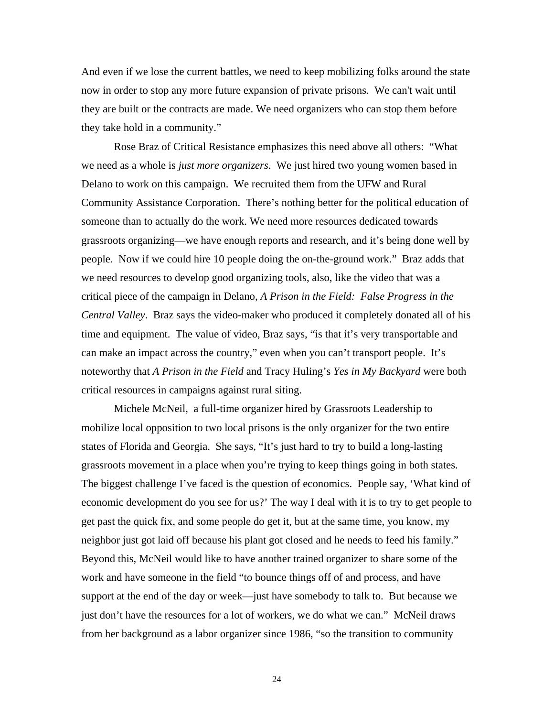And even if we lose the current battles, we need to keep mobilizing folks around the state now in order to stop any more future expansion of private prisons. We can't wait until they are built or the contracts are made. We need organizers who can stop them before they take hold in a community."

Rose Braz of Critical Resistance emphasizes this need above all others: "What we need as a whole is *just more organizers*. We just hired two young women based in Delano to work on this campaign. We recruited them from the UFW and Rural Community Assistance Corporation. There's nothing better for the political education of someone than to actually do the work. We need more resources dedicated towards grassroots organizing—we have enough reports and research, and it's being done well by people. Now if we could hire 10 people doing the on-the-ground work." Braz adds that we need resources to develop good organizing tools, also, like the video that was a critical piece of the campaign in Delano, *A Prison in the Field: False Progress in the Central Valley*. Braz says the video-maker who produced it completely donated all of his time and equipment. The value of video, Braz says, "is that it's very transportable and can make an impact across the country," even when you can't transport people. It's noteworthy that *A Prison in the Field* and Tracy Huling's *Yes in My Backyard* were both critical resources in campaigns against rural siting.

Michele McNeil, a full-time organizer hired by Grassroots Leadership to mobilize local opposition to two local prisons is the only organizer for the two entire states of Florida and Georgia. She says, "It's just hard to try to build a long-lasting grassroots movement in a place when you're trying to keep things going in both states. The biggest challenge I've faced is the question of economics. People say, 'What kind of economic development do you see for us?' The way I deal with it is to try to get people to get past the quick fix, and some people do get it, but at the same time, you know, my neighbor just got laid off because his plant got closed and he needs to feed his family." Beyond this, McNeil would like to have another trained organizer to share some of the work and have someone in the field "to bounce things off of and process, and have support at the end of the day or week—just have somebody to talk to. But because we just don't have the resources for a lot of workers, we do what we can." McNeil draws from her background as a labor organizer since 1986, "so the transition to community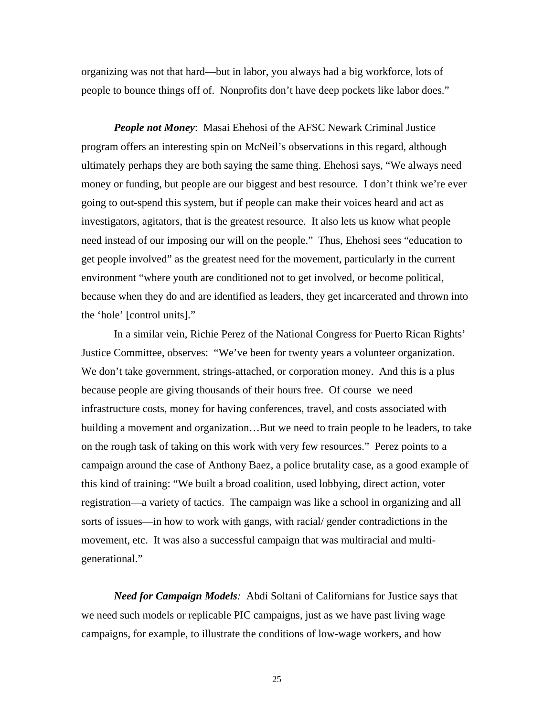organizing was not that hard—but in labor, you always had a big workforce, lots of people to bounce things off of. Nonprofits don't have deep pockets like labor does."

*People not Money*: Masai Ehehosi of the AFSC Newark Criminal Justice program offers an interesting spin on McNeil's observations in this regard, although ultimately perhaps they are both saying the same thing. Ehehosi says, "We always need money or funding, but people are our biggest and best resource. I don't think we're ever going to out-spend this system, but if people can make their voices heard and act as investigators, agitators, that is the greatest resource. It also lets us know what people need instead of our imposing our will on the people." Thus, Ehehosi sees "education to get people involved" as the greatest need for the movement, particularly in the current environment "where youth are conditioned not to get involved, or become political, because when they do and are identified as leaders, they get incarcerated and thrown into the 'hole' [control units]."

In a similar vein, Richie Perez of the National Congress for Puerto Rican Rights' Justice Committee, observes: "We've been for twenty years a volunteer organization. We don't take government, strings-attached, or corporation money. And this is a plus because people are giving thousands of their hours free. Of course we need infrastructure costs, money for having conferences, travel, and costs associated with building a movement and organization…But we need to train people to be leaders, to take on the rough task of taking on this work with very few resources." Perez points to a campaign around the case of Anthony Baez, a police brutality case, as a good example of this kind of training: "We built a broad coalition, used lobbying, direct action, voter registration—a variety of tactics. The campaign was like a school in organizing and all sorts of issues—in how to work with gangs, with racial/ gender contradictions in the movement, etc. It was also a successful campaign that was multiracial and multigenerational."

*Need for Campaign Models:*Abdi Soltani of Californians for Justice says that we need such models or replicable PIC campaigns, just as we have past living wage campaigns, for example, to illustrate the conditions of low-wage workers, and how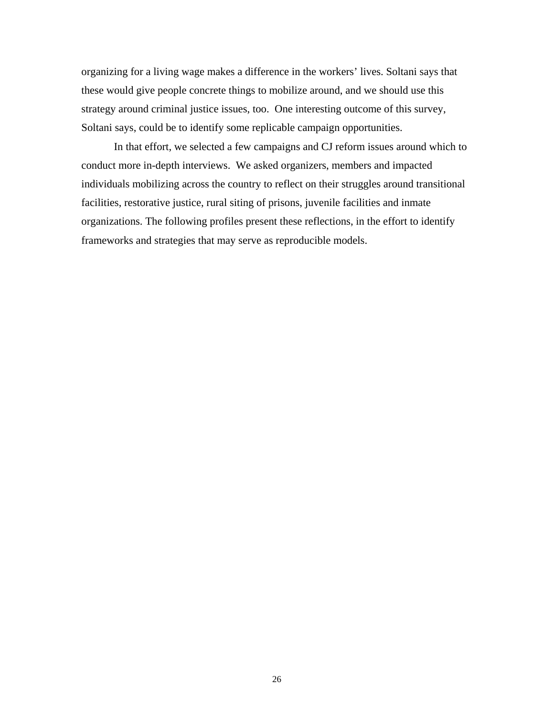organizing for a living wage makes a difference in the workers' lives. Soltani says that these would give people concrete things to mobilize around, and we should use this strategy around criminal justice issues, too. One interesting outcome of this survey, Soltani says, could be to identify some replicable campaign opportunities.

In that effort, we selected a few campaigns and CJ reform issues around which to conduct more in-depth interviews. We asked organizers, members and impacted individuals mobilizing across the country to reflect on their struggles around transitional facilities, restorative justice, rural siting of prisons, juvenile facilities and inmate organizations. The following profiles present these reflections, in the effort to identify frameworks and strategies that may serve as reproducible models.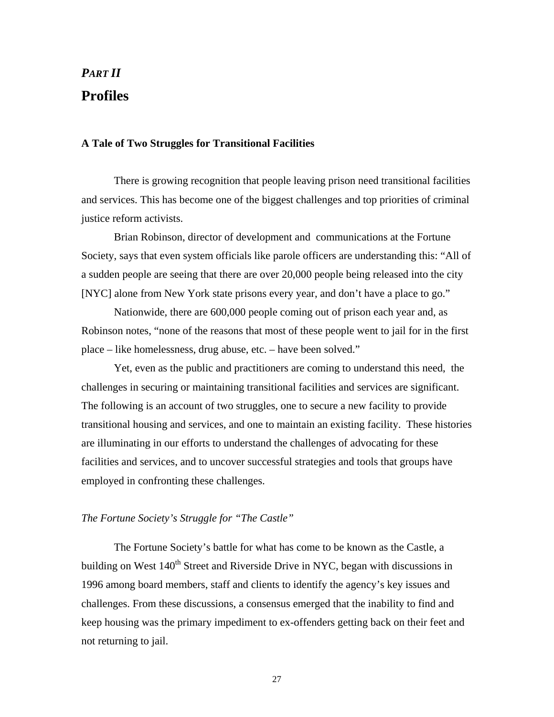# *PART II*  **Profiles**

### **A Tale of Two Struggles for Transitional Facilities**

There is growing recognition that people leaving prison need transitional facilities and services. This has become one of the biggest challenges and top priorities of criminal justice reform activists.

Brian Robinson, director of development and communications at the Fortune Society, says that even system officials like parole officers are understanding this: "All of a sudden people are seeing that there are over 20,000 people being released into the city [NYC] alone from New York state prisons every year, and don't have a place to go."

Nationwide, there are 600,000 people coming out of prison each year and, as Robinson notes, "none of the reasons that most of these people went to jail for in the first place – like homelessness, drug abuse, etc. – have been solved."

Yet, even as the public and practitioners are coming to understand this need, the challenges in securing or maintaining transitional facilities and services are significant. The following is an account of two struggles, one to secure a new facility to provide transitional housing and services, and one to maintain an existing facility. These histories are illuminating in our efforts to understand the challenges of advocating for these facilities and services, and to uncover successful strategies and tools that groups have employed in confronting these challenges.

### *The Fortune Society's Struggle for "The Castle"*

The Fortune Society's battle for what has come to be known as the Castle, a building on West  $140<sup>th</sup>$  Street and Riverside Drive in NYC, began with discussions in 1996 among board members, staff and clients to identify the agency's key issues and challenges. From these discussions, a consensus emerged that the inability to find and keep housing was the primary impediment to ex-offenders getting back on their feet and not returning to jail.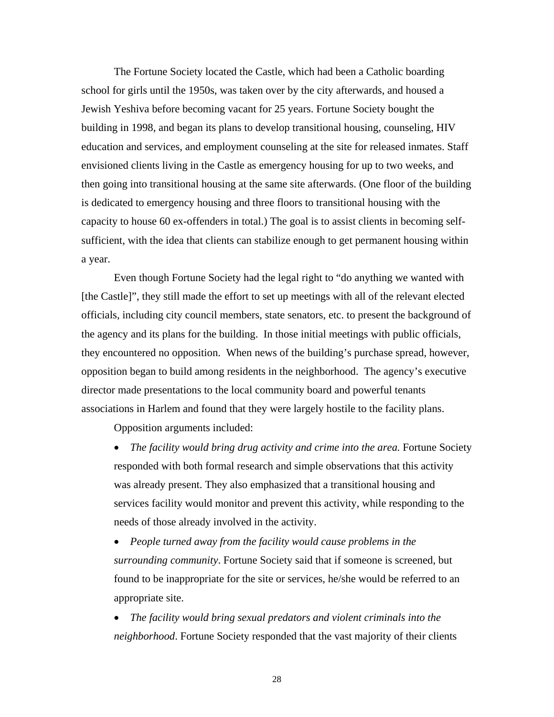The Fortune Society located the Castle, which had been a Catholic boarding school for girls until the 1950s, was taken over by the city afterwards, and housed a Jewish Yeshiva before becoming vacant for 25 years. Fortune Society bought the building in 1998, and began its plans to develop transitional housing, counseling, HIV education and services, and employment counseling at the site for released inmates. Staff envisioned clients living in the Castle as emergency housing for up to two weeks, and then going into transitional housing at the same site afterwards. (One floor of the building is dedicated to emergency housing and three floors to transitional housing with the capacity to house 60 ex-offenders in total.) The goal is to assist clients in becoming selfsufficient, with the idea that clients can stabilize enough to get permanent housing within a year.

Even though Fortune Society had the legal right to "do anything we wanted with [the Castle]", they still made the effort to set up meetings with all of the relevant elected officials, including city council members, state senators, etc. to present the background of the agency and its plans for the building. In those initial meetings with public officials, they encountered no opposition. When news of the building's purchase spread, however, opposition began to build among residents in the neighborhood. The agency's executive director made presentations to the local community board and powerful tenants associations in Harlem and found that they were largely hostile to the facility plans.

Opposition arguments included:

• *The facility would bring drug activity and crime into the area.* Fortune Society responded with both formal research and simple observations that this activity was already present. They also emphasized that a transitional housing and services facility would monitor and prevent this activity, while responding to the needs of those already involved in the activity.

• *People turned away from the facility would cause problems in the surrounding community*. Fortune Society said that if someone is screened, but found to be inappropriate for the site or services, he/she would be referred to an appropriate site.

• *The facility would bring sexual predators and violent criminals into the neighborhood*. Fortune Society responded that the vast majority of their clients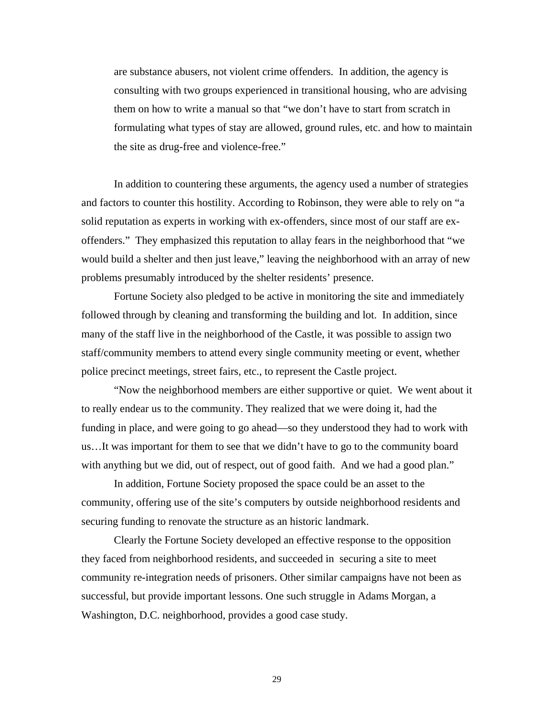are substance abusers, not violent crime offenders. In addition, the agency is consulting with two groups experienced in transitional housing, who are advising them on how to write a manual so that "we don't have to start from scratch in formulating what types of stay are allowed, ground rules, etc. and how to maintain the site as drug-free and violence-free."

In addition to countering these arguments, the agency used a number of strategies and factors to counter this hostility. According to Robinson, they were able to rely on "a solid reputation as experts in working with ex-offenders, since most of our staff are exoffenders." They emphasized this reputation to allay fears in the neighborhood that "we would build a shelter and then just leave," leaving the neighborhood with an array of new problems presumably introduced by the shelter residents' presence.

Fortune Society also pledged to be active in monitoring the site and immediately followed through by cleaning and transforming the building and lot. In addition, since many of the staff live in the neighborhood of the Castle, it was possible to assign two staff/community members to attend every single community meeting or event, whether police precinct meetings, street fairs, etc., to represent the Castle project.

"Now the neighborhood members are either supportive or quiet. We went about it to really endear us to the community. They realized that we were doing it, had the funding in place, and were going to go ahead—so they understood they had to work with us…It was important for them to see that we didn't have to go to the community board with anything but we did, out of respect, out of good faith. And we had a good plan."

In addition, Fortune Society proposed the space could be an asset to the community, offering use of the site's computers by outside neighborhood residents and securing funding to renovate the structure as an historic landmark.

Clearly the Fortune Society developed an effective response to the opposition they faced from neighborhood residents, and succeeded in securing a site to meet community re-integration needs of prisoners. Other similar campaigns have not been as successful, but provide important lessons. One such struggle in Adams Morgan, a Washington, D.C. neighborhood, provides a good case study.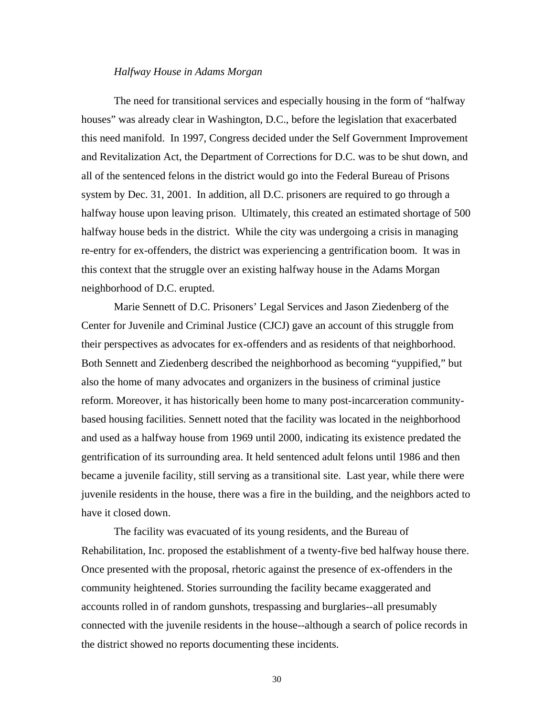### *Halfway House in Adams Morgan*

The need for transitional services and especially housing in the form of "halfway houses" was already clear in Washington, D.C., before the legislation that exacerbated this need manifold. In 1997, Congress decided under the Self Government Improvement and Revitalization Act, the Department of Corrections for D.C. was to be shut down, and all of the sentenced felons in the district would go into the Federal Bureau of Prisons system by Dec. 31, 2001. In addition, all D.C. prisoners are required to go through a halfway house upon leaving prison. Ultimately, this created an estimated shortage of 500 halfway house beds in the district. While the city was undergoing a crisis in managing re-entry for ex-offenders, the district was experiencing a gentrification boom. It was in this context that the struggle over an existing halfway house in the Adams Morgan neighborhood of D.C. erupted.

Marie Sennett of D.C. Prisoners' Legal Services and Jason Ziedenberg of the Center for Juvenile and Criminal Justice (CJCJ) gave an account of this struggle from their perspectives as advocates for ex-offenders and as residents of that neighborhood. Both Sennett and Ziedenberg described the neighborhood as becoming "yuppified," but also the home of many advocates and organizers in the business of criminal justice reform. Moreover, it has historically been home to many post-incarceration communitybased housing facilities. Sennett noted that the facility was located in the neighborhood and used as a halfway house from 1969 until 2000, indicating its existence predated the gentrification of its surrounding area. It held sentenced adult felons until 1986 and then became a juvenile facility, still serving as a transitional site. Last year, while there were juvenile residents in the house, there was a fire in the building, and the neighbors acted to have it closed down.

The facility was evacuated of its young residents, and the Bureau of Rehabilitation, Inc. proposed the establishment of a twenty-five bed halfway house there. Once presented with the proposal, rhetoric against the presence of ex-offenders in the community heightened. Stories surrounding the facility became exaggerated and accounts rolled in of random gunshots, trespassing and burglaries--all presumably connected with the juvenile residents in the house--although a search of police records in the district showed no reports documenting these incidents.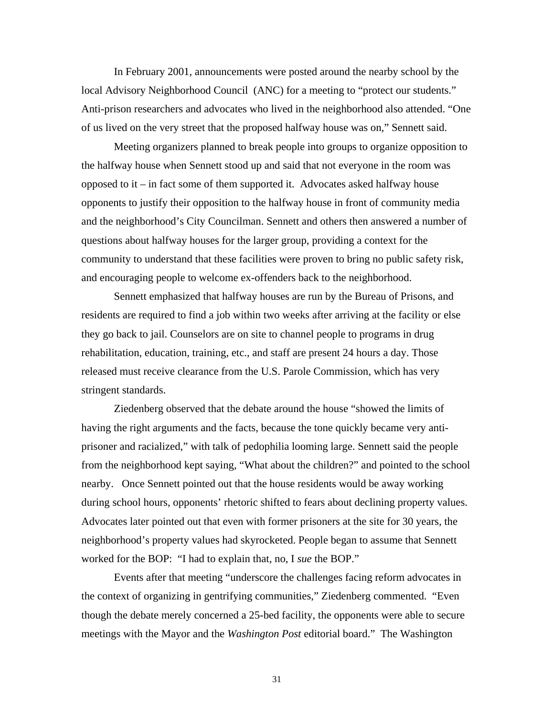In February 2001, announcements were posted around the nearby school by the local Advisory Neighborhood Council (ANC) for a meeting to "protect our students." Anti-prison researchers and advocates who lived in the neighborhood also attended. "One of us lived on the very street that the proposed halfway house was on," Sennett said.

Meeting organizers planned to break people into groups to organize opposition to the halfway house when Sennett stood up and said that not everyone in the room was opposed to it – in fact some of them supported it. Advocates asked halfway house opponents to justify their opposition to the halfway house in front of community media and the neighborhood's City Councilman. Sennett and others then answered a number of questions about halfway houses for the larger group, providing a context for the community to understand that these facilities were proven to bring no public safety risk, and encouraging people to welcome ex-offenders back to the neighborhood.

Sennett emphasized that halfway houses are run by the Bureau of Prisons, and residents are required to find a job within two weeks after arriving at the facility or else they go back to jail. Counselors are on site to channel people to programs in drug rehabilitation, education, training, etc., and staff are present 24 hours a day. Those released must receive clearance from the U.S. Parole Commission, which has very stringent standards.

Ziedenberg observed that the debate around the house "showed the limits of having the right arguments and the facts, because the tone quickly became very antiprisoner and racialized," with talk of pedophilia looming large. Sennett said the people from the neighborhood kept saying, "What about the children?" and pointed to the school nearby. Once Sennett pointed out that the house residents would be away working during school hours, opponents' rhetoric shifted to fears about declining property values. Advocates later pointed out that even with former prisoners at the site for 30 years, the neighborhood's property values had skyrocketed. People began to assume that Sennett worked for the BOP: "I had to explain that, no, I *sue* the BOP."

Events after that meeting "underscore the challenges facing reform advocates in the context of organizing in gentrifying communities," Ziedenberg commented. "Even though the debate merely concerned a 25-bed facility, the opponents were able to secure meetings with the Mayor and the *Washington Post* editorial board." The Washington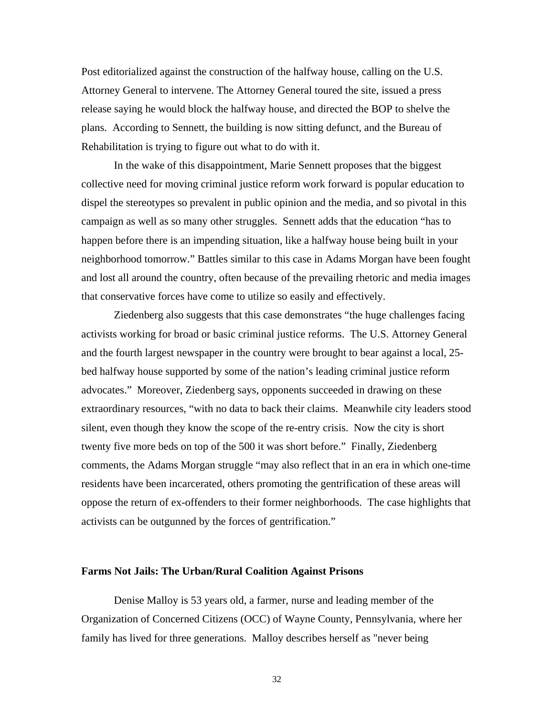Post editorialized against the construction of the halfway house, calling on the U.S. Attorney General to intervene. The Attorney General toured the site, issued a press release saying he would block the halfway house, and directed the BOP to shelve the plans. According to Sennett, the building is now sitting defunct, and the Bureau of Rehabilitation is trying to figure out what to do with it.

In the wake of this disappointment, Marie Sennett proposes that the biggest collective need for moving criminal justice reform work forward is popular education to dispel the stereotypes so prevalent in public opinion and the media, and so pivotal in this campaign as well as so many other struggles. Sennett adds that the education "has to happen before there is an impending situation, like a halfway house being built in your neighborhood tomorrow." Battles similar to this case in Adams Morgan have been fought and lost all around the country, often because of the prevailing rhetoric and media images that conservative forces have come to utilize so easily and effectively.

Ziedenberg also suggests that this case demonstrates "the huge challenges facing activists working for broad or basic criminal justice reforms. The U.S. Attorney General and the fourth largest newspaper in the country were brought to bear against a local, 25 bed halfway house supported by some of the nation's leading criminal justice reform advocates." Moreover, Ziedenberg says, opponents succeeded in drawing on these extraordinary resources, "with no data to back their claims. Meanwhile city leaders stood silent, even though they know the scope of the re-entry crisis. Now the city is short twenty five more beds on top of the 500 it was short before." Finally, Ziedenberg comments, the Adams Morgan struggle "may also reflect that in an era in which one-time residents have been incarcerated, others promoting the gentrification of these areas will oppose the return of ex-offenders to their former neighborhoods. The case highlights that activists can be outgunned by the forces of gentrification."

#### **Farms Not Jails: The Urban/Rural Coalition Against Prisons**

Denise Malloy is 53 years old, a farmer, nurse and leading member of the Organization of Concerned Citizens (OCC) of Wayne County, Pennsylvania, where her family has lived for three generations. Malloy describes herself as "never being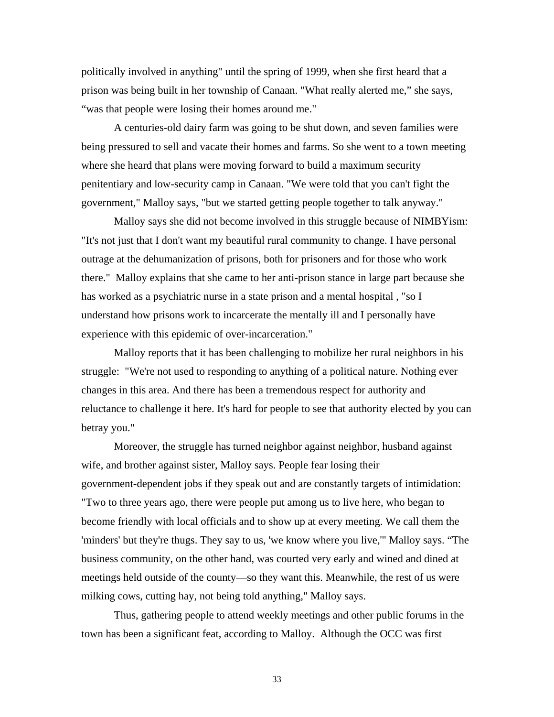politically involved in anything" until the spring of 1999, when she first heard that a prison was being built in her township of Canaan. "What really alerted me," she says, "was that people were losing their homes around me."

A centuries-old dairy farm was going to be shut down, and seven families were being pressured to sell and vacate their homes and farms. So she went to a town meeting where she heard that plans were moving forward to build a maximum security penitentiary and low-security camp in Canaan. "We were told that you can't fight the government," Malloy says, "but we started getting people together to talk anyway."

Malloy says she did not become involved in this struggle because of NIMBYism: "It's not just that I don't want my beautiful rural community to change. I have personal outrage at the dehumanization of prisons, both for prisoners and for those who work there." Malloy explains that she came to her anti-prison stance in large part because she has worked as a psychiatric nurse in a state prison and a mental hospital , "so I understand how prisons work to incarcerate the mentally ill and I personally have experience with this epidemic of over-incarceration."

Malloy reports that it has been challenging to mobilize her rural neighbors in his struggle: "We're not used to responding to anything of a political nature. Nothing ever changes in this area. And there has been a tremendous respect for authority and reluctance to challenge it here. It's hard for people to see that authority elected by you can betray you."

Moreover, the struggle has turned neighbor against neighbor, husband against wife, and brother against sister, Malloy says. People fear losing their government-dependent jobs if they speak out and are constantly targets of intimidation: "Two to three years ago, there were people put among us to live here, who began to become friendly with local officials and to show up at every meeting. We call them the 'minders' but they're thugs. They say to us, 'we know where you live,'" Malloy says. "The business community, on the other hand, was courted very early and wined and dined at meetings held outside of the county—so they want this. Meanwhile, the rest of us were milking cows, cutting hay, not being told anything," Malloy says.

Thus, gathering people to attend weekly meetings and other public forums in the town has been a significant feat, according to Malloy. Although the OCC was first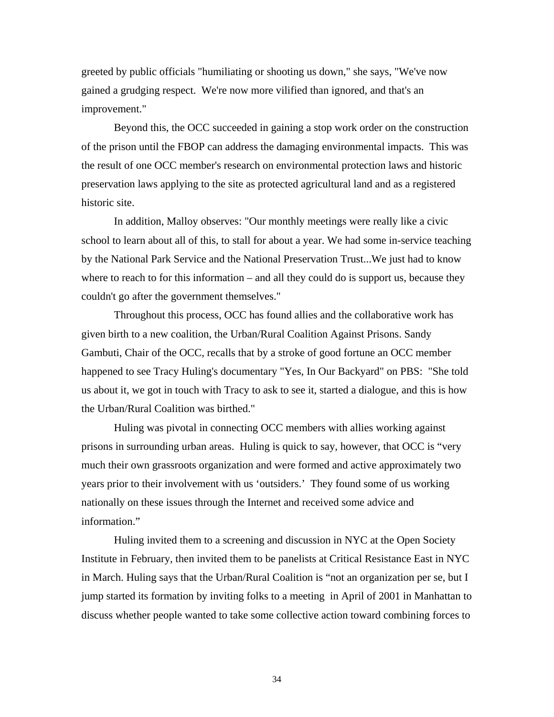greeted by public officials "humiliating or shooting us down," she says, "We've now gained a grudging respect. We're now more vilified than ignored, and that's an improvement."

Beyond this, the OCC succeeded in gaining a stop work order on the construction of the prison until the FBOP can address the damaging environmental impacts. This was the result of one OCC member's research on environmental protection laws and historic preservation laws applying to the site as protected agricultural land and as a registered historic site.

In addition, Malloy observes: "Our monthly meetings were really like a civic school to learn about all of this, to stall for about a year. We had some in-service teaching by the National Park Service and the National Preservation Trust...We just had to know where to reach to for this information – and all they could do is support us, because they couldn't go after the government themselves."

Throughout this process, OCC has found allies and the collaborative work has given birth to a new coalition, the Urban/Rural Coalition Against Prisons. Sandy Gambuti, Chair of the OCC, recalls that by a stroke of good fortune an OCC member happened to see Tracy Huling's documentary "Yes, In Our Backyard" on PBS: "She told us about it, we got in touch with Tracy to ask to see it, started a dialogue, and this is how the Urban/Rural Coalition was birthed."

Huling was pivotal in connecting OCC members with allies working against prisons in surrounding urban areas. Huling is quick to say, however, that OCC is "very much their own grassroots organization and were formed and active approximately two years prior to their involvement with us 'outsiders.' They found some of us working nationally on these issues through the Internet and received some advice and information."

Huling invited them to a screening and discussion in NYC at the Open Society Institute in February, then invited them to be panelists at Critical Resistance East in NYC in March. Huling says that the Urban/Rural Coalition is "not an organization per se, but I jump started its formation by inviting folks to a meeting in April of 2001 in Manhattan to discuss whether people wanted to take some collective action toward combining forces to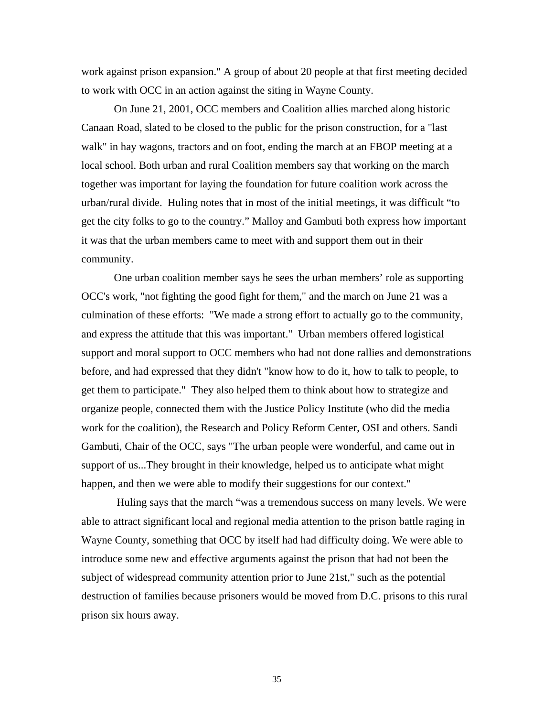work against prison expansion." A group of about 20 people at that first meeting decided to work with OCC in an action against the siting in Wayne County.

On June 21, 2001, OCC members and Coalition allies marched along historic Canaan Road, slated to be closed to the public for the prison construction, for a "last walk" in hay wagons, tractors and on foot, ending the march at an FBOP meeting at a local school. Both urban and rural Coalition members say that working on the march together was important for laying the foundation for future coalition work across the urban/rural divide. Huling notes that in most of the initial meetings, it was difficult "to get the city folks to go to the country." Malloy and Gambuti both express how important it was that the urban members came to meet with and support them out in their community.

One urban coalition member says he sees the urban members' role as supporting OCC's work, "not fighting the good fight for them," and the march on June 21 was a culmination of these efforts: "We made a strong effort to actually go to the community, and express the attitude that this was important." Urban members offered logistical support and moral support to OCC members who had not done rallies and demonstrations before, and had expressed that they didn't "know how to do it, how to talk to people, to get them to participate." They also helped them to think about how to strategize and organize people, connected them with the Justice Policy Institute (who did the media work for the coalition), the Research and Policy Reform Center, OSI and others. Sandi Gambuti, Chair of the OCC, says "The urban people were wonderful, and came out in support of us...They brought in their knowledge, helped us to anticipate what might happen, and then we were able to modify their suggestions for our context."

 Huling says that the march "was a tremendous success on many levels. We were able to attract significant local and regional media attention to the prison battle raging in Wayne County, something that OCC by itself had had difficulty doing. We were able to introduce some new and effective arguments against the prison that had not been the subject of widespread community attention prior to June 21st," such as the potential destruction of families because prisoners would be moved from D.C. prisons to this rural prison six hours away.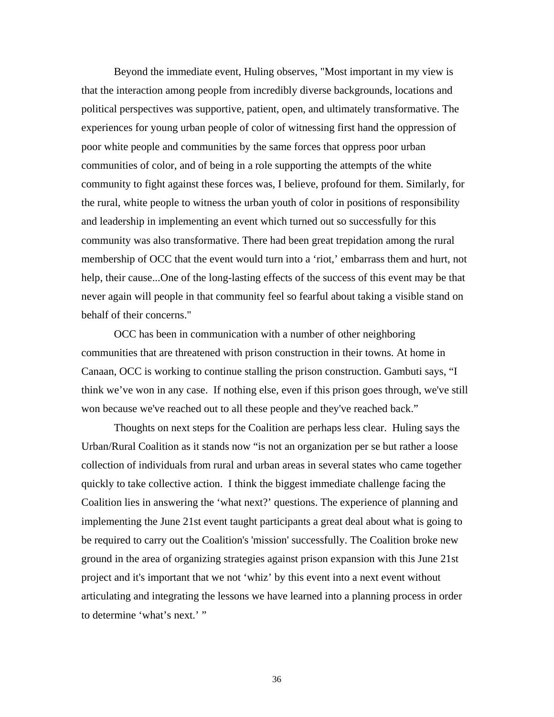Beyond the immediate event, Huling observes, "Most important in my view is that the interaction among people from incredibly diverse backgrounds, locations and political perspectives was supportive, patient, open, and ultimately transformative. The experiences for young urban people of color of witnessing first hand the oppression of poor white people and communities by the same forces that oppress poor urban communities of color, and of being in a role supporting the attempts of the white community to fight against these forces was, I believe, profound for them. Similarly, for the rural, white people to witness the urban youth of color in positions of responsibility and leadership in implementing an event which turned out so successfully for this community was also transformative. There had been great trepidation among the rural membership of OCC that the event would turn into a 'riot,' embarrass them and hurt, not help, their cause...One of the long-lasting effects of the success of this event may be that never again will people in that community feel so fearful about taking a visible stand on behalf of their concerns."

OCC has been in communication with a number of other neighboring communities that are threatened with prison construction in their towns. At home in Canaan, OCC is working to continue stalling the prison construction. Gambuti says, "I think we've won in any case. If nothing else, even if this prison goes through, we've still won because we've reached out to all these people and they've reached back."

Thoughts on next steps for the Coalition are perhaps less clear. Huling says the Urban/Rural Coalition as it stands now "is not an organization per se but rather a loose collection of individuals from rural and urban areas in several states who came together quickly to take collective action. I think the biggest immediate challenge facing the Coalition lies in answering the 'what next?' questions. The experience of planning and implementing the June 21st event taught participants a great deal about what is going to be required to carry out the Coalition's 'mission' successfully. The Coalition broke new ground in the area of organizing strategies against prison expansion with this June 21st project and it's important that we not 'whiz' by this event into a next event without articulating and integrating the lessons we have learned into a planning process in order to determine 'what's next.' "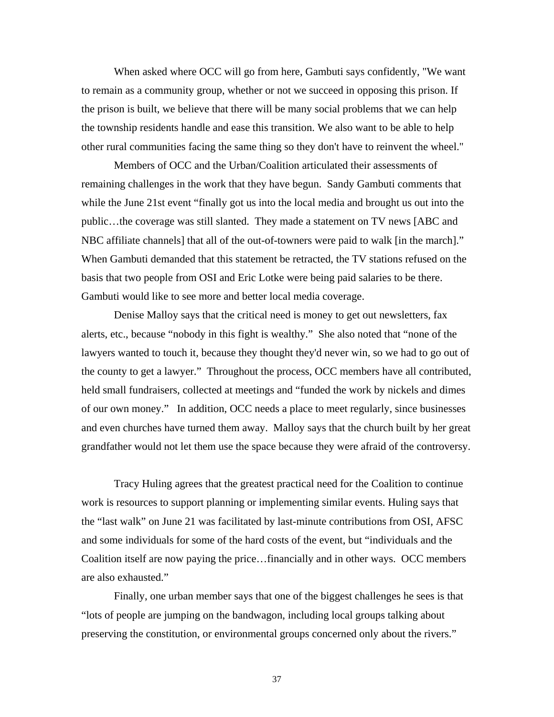When asked where OCC will go from here, Gambuti says confidently, "We want to remain as a community group, whether or not we succeed in opposing this prison. If the prison is built, we believe that there will be many social problems that we can help the township residents handle and ease this transition. We also want to be able to help other rural communities facing the same thing so they don't have to reinvent the wheel."

Members of OCC and the Urban/Coalition articulated their assessments of remaining challenges in the work that they have begun. Sandy Gambuti comments that while the June 21st event "finally got us into the local media and brought us out into the public…the coverage was still slanted. They made a statement on TV news [ABC and NBC affiliate channels] that all of the out-of-towners were paid to walk [in the march]." When Gambuti demanded that this statement be retracted, the TV stations refused on the basis that two people from OSI and Eric Lotke were being paid salaries to be there. Gambuti would like to see more and better local media coverage.

Denise Malloy says that the critical need is money to get out newsletters, fax alerts, etc., because "nobody in this fight is wealthy." She also noted that "none of the lawyers wanted to touch it, because they thought they'd never win, so we had to go out of the county to get a lawyer." Throughout the process, OCC members have all contributed, held small fundraisers, collected at meetings and "funded the work by nickels and dimes of our own money." In addition, OCC needs a place to meet regularly, since businesses and even churches have turned them away. Malloy says that the church built by her great grandfather would not let them use the space because they were afraid of the controversy.

Tracy Huling agrees that the greatest practical need for the Coalition to continue work is resources to support planning or implementing similar events. Huling says that the "last walk" on June 21 was facilitated by last-minute contributions from OSI, AFSC and some individuals for some of the hard costs of the event, but "individuals and the Coalition itself are now paying the price…financially and in other ways. OCC members are also exhausted."

Finally, one urban member says that one of the biggest challenges he sees is that "lots of people are jumping on the bandwagon, including local groups talking about preserving the constitution, or environmental groups concerned only about the rivers."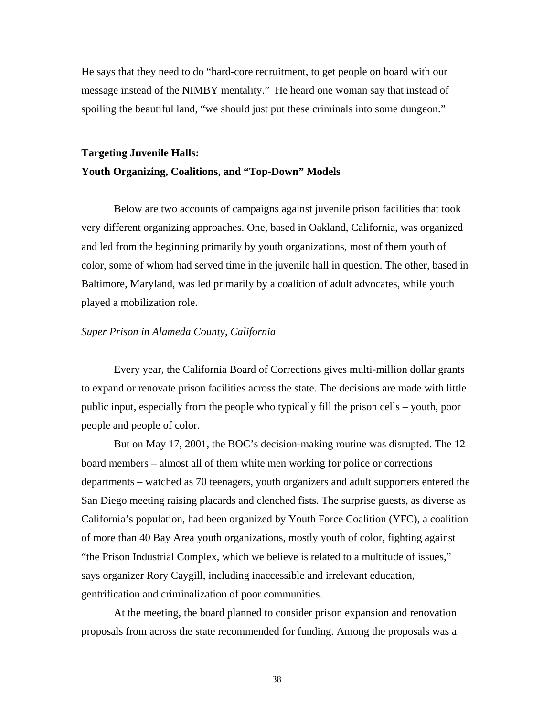He says that they need to do "hard-core recruitment, to get people on board with our message instead of the NIMBY mentality." He heard one woman say that instead of spoiling the beautiful land, "we should just put these criminals into some dungeon."

### **Targeting Juvenile Halls:**

### **Youth Organizing, Coalitions, and "Top-Down" Models**

Below are two accounts of campaigns against juvenile prison facilities that took very different organizing approaches. One, based in Oakland, California, was organized and led from the beginning primarily by youth organizations, most of them youth of color, some of whom had served time in the juvenile hall in question. The other, based in Baltimore, Maryland, was led primarily by a coalition of adult advocates, while youth played a mobilization role.

### *Super Prison in Alameda County, California*

Every year, the California Board of Corrections gives multi-million dollar grants to expand or renovate prison facilities across the state. The decisions are made with little public input, especially from the people who typically fill the prison cells – youth, poor people and people of color.

But on May 17, 2001, the BOC's decision-making routine was disrupted. The 12 board members – almost all of them white men working for police or corrections departments – watched as 70 teenagers, youth organizers and adult supporters entered the San Diego meeting raising placards and clenched fists. The surprise guests, as diverse as California's population, had been organized by Youth Force Coalition (YFC), a coalition of more than 40 Bay Area youth organizations, mostly youth of color, fighting against "the Prison Industrial Complex, which we believe is related to a multitude of issues," says organizer Rory Caygill, including inaccessible and irrelevant education, gentrification and criminalization of poor communities.

At the meeting, the board planned to consider prison expansion and renovation proposals from across the state recommended for funding. Among the proposals was a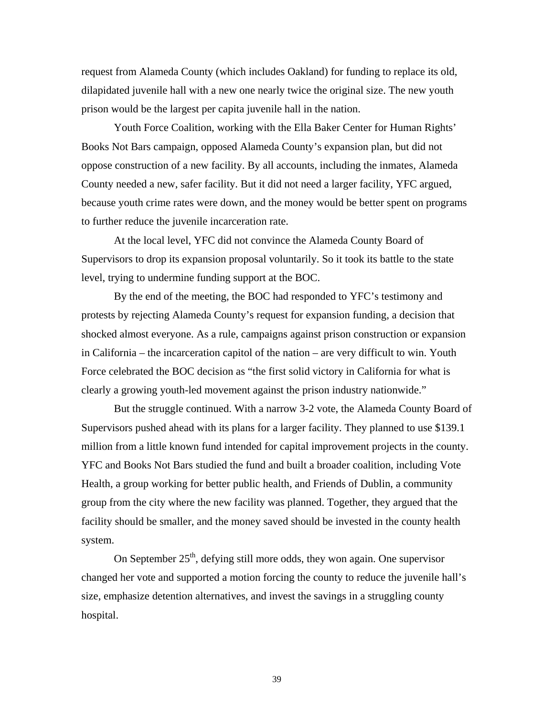request from Alameda County (which includes Oakland) for funding to replace its old, dilapidated juvenile hall with a new one nearly twice the original size. The new youth prison would be the largest per capita juvenile hall in the nation.

Youth Force Coalition, working with the Ella Baker Center for Human Rights' Books Not Bars campaign, opposed Alameda County's expansion plan, but did not oppose construction of a new facility. By all accounts, including the inmates, Alameda County needed a new, safer facility. But it did not need a larger facility, YFC argued, because youth crime rates were down, and the money would be better spent on programs to further reduce the juvenile incarceration rate.

At the local level, YFC did not convince the Alameda County Board of Supervisors to drop its expansion proposal voluntarily. So it took its battle to the state level, trying to undermine funding support at the BOC.

By the end of the meeting, the BOC had responded to YFC's testimony and protests by rejecting Alameda County's request for expansion funding, a decision that shocked almost everyone. As a rule, campaigns against prison construction or expansion in California – the incarceration capitol of the nation – are very difficult to win. Youth Force celebrated the BOC decision as "the first solid victory in California for what is clearly a growing youth-led movement against the prison industry nationwide."

But the struggle continued. With a narrow 3-2 vote, the Alameda County Board of Supervisors pushed ahead with its plans for a larger facility. They planned to use \$139.1 million from a little known fund intended for capital improvement projects in the county. YFC and Books Not Bars studied the fund and built a broader coalition, including Vote Health, a group working for better public health, and Friends of Dublin, a community group from the city where the new facility was planned. Together, they argued that the facility should be smaller, and the money saved should be invested in the county health system.

On September  $25<sup>th</sup>$ , defying still more odds, they won again. One supervisor changed her vote and supported a motion forcing the county to reduce the juvenile hall's size, emphasize detention alternatives, and invest the savings in a struggling county hospital.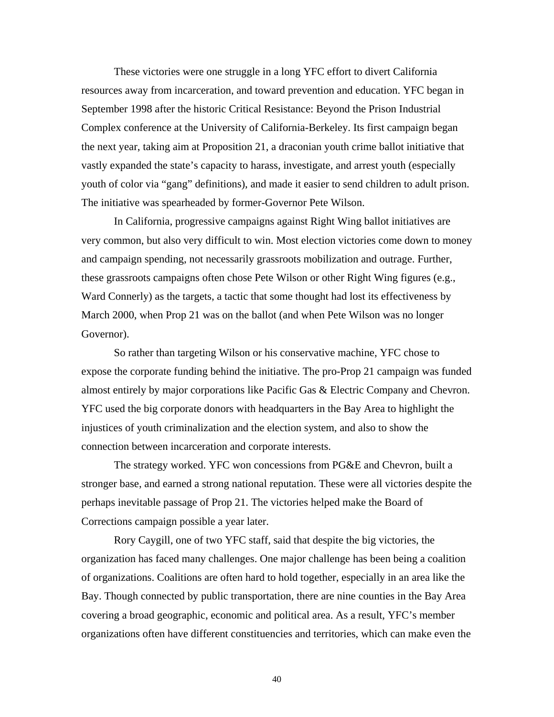These victories were one struggle in a long YFC effort to divert California resources away from incarceration, and toward prevention and education. YFC began in September 1998 after the historic Critical Resistance: Beyond the Prison Industrial Complex conference at the University of California-Berkeley. Its first campaign began the next year, taking aim at Proposition 21, a draconian youth crime ballot initiative that vastly expanded the state's capacity to harass, investigate, and arrest youth (especially youth of color via "gang" definitions), and made it easier to send children to adult prison. The initiative was spearheaded by former-Governor Pete Wilson.

In California, progressive campaigns against Right Wing ballot initiatives are very common, but also very difficult to win. Most election victories come down to money and campaign spending, not necessarily grassroots mobilization and outrage. Further, these grassroots campaigns often chose Pete Wilson or other Right Wing figures (e.g., Ward Connerly) as the targets, a tactic that some thought had lost its effectiveness by March 2000, when Prop 21 was on the ballot (and when Pete Wilson was no longer Governor).

So rather than targeting Wilson or his conservative machine, YFC chose to expose the corporate funding behind the initiative. The pro-Prop 21 campaign was funded almost entirely by major corporations like Pacific Gas & Electric Company and Chevron. YFC used the big corporate donors with headquarters in the Bay Area to highlight the injustices of youth criminalization and the election system, and also to show the connection between incarceration and corporate interests.

The strategy worked. YFC won concessions from PG&E and Chevron, built a stronger base, and earned a strong national reputation. These were all victories despite the perhaps inevitable passage of Prop 21. The victories helped make the Board of Corrections campaign possible a year later.

Rory Caygill, one of two YFC staff, said that despite the big victories, the organization has faced many challenges. One major challenge has been being a coalition of organizations. Coalitions are often hard to hold together, especially in an area like the Bay. Though connected by public transportation, there are nine counties in the Bay Area covering a broad geographic, economic and political area. As a result, YFC's member organizations often have different constituencies and territories, which can make even the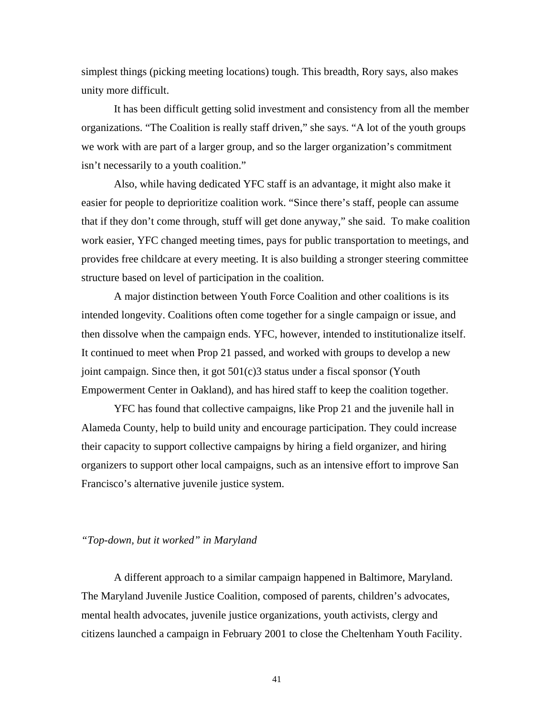simplest things (picking meeting locations) tough. This breadth, Rory says, also makes unity more difficult.

It has been difficult getting solid investment and consistency from all the member organizations. "The Coalition is really staff driven," she says. "A lot of the youth groups we work with are part of a larger group, and so the larger organization's commitment isn't necessarily to a youth coalition."

Also, while having dedicated YFC staff is an advantage, it might also make it easier for people to deprioritize coalition work. "Since there's staff, people can assume that if they don't come through, stuff will get done anyway," she said. To make coalition work easier, YFC changed meeting times, pays for public transportation to meetings, and provides free childcare at every meeting. It is also building a stronger steering committee structure based on level of participation in the coalition.

A major distinction between Youth Force Coalition and other coalitions is its intended longevity. Coalitions often come together for a single campaign or issue, and then dissolve when the campaign ends. YFC, however, intended to institutionalize itself. It continued to meet when Prop 21 passed, and worked with groups to develop a new joint campaign. Since then, it got 501(c)3 status under a fiscal sponsor (Youth Empowerment Center in Oakland), and has hired staff to keep the coalition together.

YFC has found that collective campaigns, like Prop 21 and the juvenile hall in Alameda County, help to build unity and encourage participation. They could increase their capacity to support collective campaigns by hiring a field organizer, and hiring organizers to support other local campaigns, such as an intensive effort to improve San Francisco's alternative juvenile justice system.

### *"Top-down, but it worked" in Maryland*

A different approach to a similar campaign happened in Baltimore, Maryland. The Maryland Juvenile Justice Coalition, composed of parents, children's advocates, mental health advocates, juvenile justice organizations, youth activists, clergy and citizens launched a campaign in February 2001 to close the Cheltenham Youth Facility.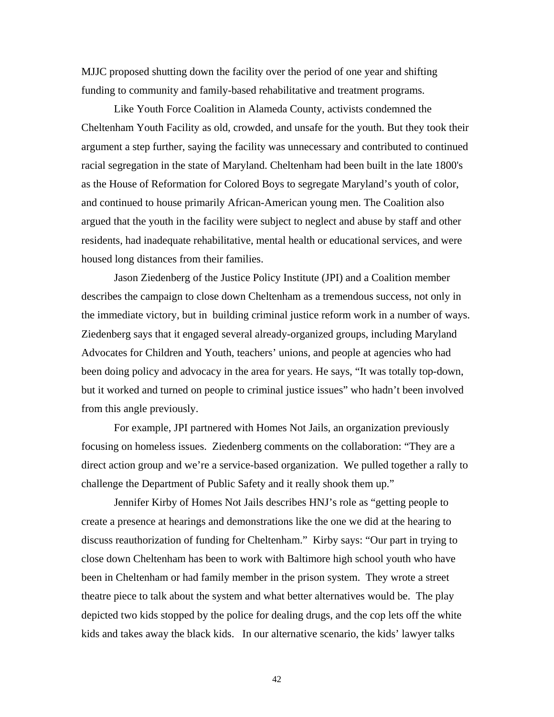MJJC proposed shutting down the facility over the period of one year and shifting funding to community and family-based rehabilitative and treatment programs.

Like Youth Force Coalition in Alameda County, activists condemned the Cheltenham Youth Facility as old, crowded, and unsafe for the youth. But they took their argument a step further, saying the facility was unnecessary and contributed to continued racial segregation in the state of Maryland. Cheltenham had been built in the late 1800's as the House of Reformation for Colored Boys to segregate Maryland's youth of color, and continued to house primarily African-American young men. The Coalition also argued that the youth in the facility were subject to neglect and abuse by staff and other residents, had inadequate rehabilitative, mental health or educational services, and were housed long distances from their families.

Jason Ziedenberg of the Justice Policy Institute (JPI) and a Coalition member describes the campaign to close down Cheltenham as a tremendous success, not only in the immediate victory, but in building criminal justice reform work in a number of ways. Ziedenberg says that it engaged several already-organized groups, including Maryland Advocates for Children and Youth, teachers' unions, and people at agencies who had been doing policy and advocacy in the area for years. He says, "It was totally top-down, but it worked and turned on people to criminal justice issues" who hadn't been involved from this angle previously.

For example, JPI partnered with Homes Not Jails, an organization previously focusing on homeless issues. Ziedenberg comments on the collaboration: "They are a direct action group and we're a service-based organization. We pulled together a rally to challenge the Department of Public Safety and it really shook them up."

Jennifer Kirby of Homes Not Jails describes HNJ's role as "getting people to create a presence at hearings and demonstrations like the one we did at the hearing to discuss reauthorization of funding for Cheltenham." Kirby says: "Our part in trying to close down Cheltenham has been to work with Baltimore high school youth who have been in Cheltenham or had family member in the prison system. They wrote a street theatre piece to talk about the system and what better alternatives would be. The play depicted two kids stopped by the police for dealing drugs, and the cop lets off the white kids and takes away the black kids. In our alternative scenario, the kids' lawyer talks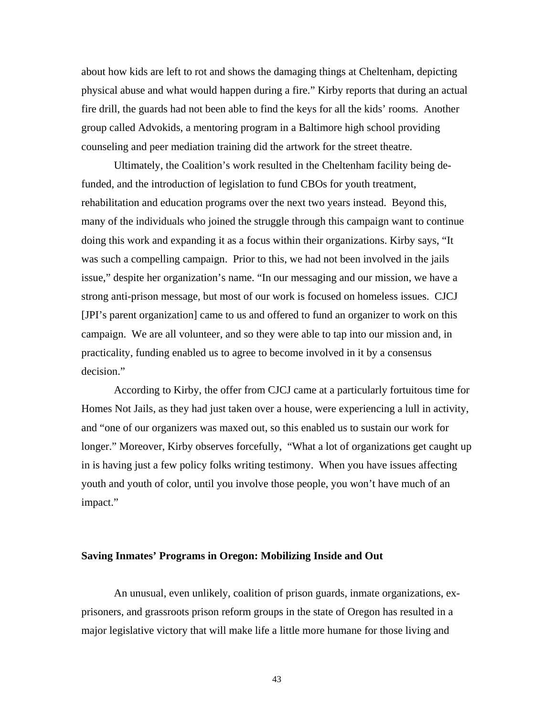about how kids are left to rot and shows the damaging things at Cheltenham, depicting physical abuse and what would happen during a fire." Kirby reports that during an actual fire drill, the guards had not been able to find the keys for all the kids' rooms. Another group called Advokids, a mentoring program in a Baltimore high school providing counseling and peer mediation training did the artwork for the street theatre.

Ultimately, the Coalition's work resulted in the Cheltenham facility being defunded, and the introduction of legislation to fund CBOs for youth treatment, rehabilitation and education programs over the next two years instead. Beyond this, many of the individuals who joined the struggle through this campaign want to continue doing this work and expanding it as a focus within their organizations. Kirby says, "It was such a compelling campaign. Prior to this, we had not been involved in the jails issue," despite her organization's name. "In our messaging and our mission, we have a strong anti-prison message, but most of our work is focused on homeless issues. CJCJ [JPI's parent organization] came to us and offered to fund an organizer to work on this campaign. We are all volunteer, and so they were able to tap into our mission and, in practicality, funding enabled us to agree to become involved in it by a consensus decision."

According to Kirby, the offer from CJCJ came at a particularly fortuitous time for Homes Not Jails, as they had just taken over a house, were experiencing a lull in activity, and "one of our organizers was maxed out, so this enabled us to sustain our work for longer." Moreover, Kirby observes forcefully, "What a lot of organizations get caught up in is having just a few policy folks writing testimony. When you have issues affecting youth and youth of color, until you involve those people, you won't have much of an impact."

### **Saving Inmates' Programs in Oregon: Mobilizing Inside and Out**

An unusual, even unlikely, coalition of prison guards, inmate organizations, exprisoners, and grassroots prison reform groups in the state of Oregon has resulted in a major legislative victory that will make life a little more humane for those living and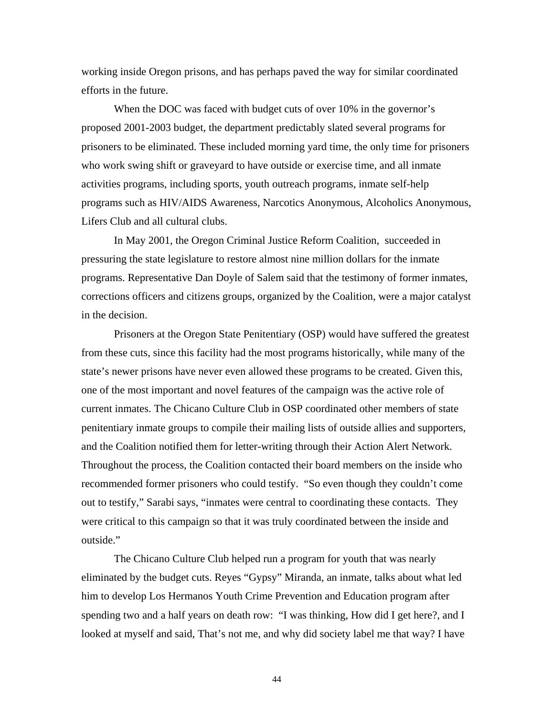working inside Oregon prisons, and has perhaps paved the way for similar coordinated efforts in the future.

When the DOC was faced with budget cuts of over 10% in the governor's proposed 2001-2003 budget, the department predictably slated several programs for prisoners to be eliminated. These included morning yard time, the only time for prisoners who work swing shift or graveyard to have outside or exercise time, and all inmate activities programs, including sports, youth outreach programs, inmate self-help programs such as HIV/AIDS Awareness, Narcotics Anonymous, Alcoholics Anonymous, Lifers Club and all cultural clubs.

In May 2001, the Oregon Criminal Justice Reform Coalition, succeeded in pressuring the state legislature to restore almost nine million dollars for the inmate programs. Representative Dan Doyle of Salem said that the testimony of former inmates, corrections officers and citizens groups, organized by the Coalition, were a major catalyst in the decision.

Prisoners at the Oregon State Penitentiary (OSP) would have suffered the greatest from these cuts, since this facility had the most programs historically, while many of the state's newer prisons have never even allowed these programs to be created. Given this, one of the most important and novel features of the campaign was the active role of current inmates. The Chicano Culture Club in OSP coordinated other members of state penitentiary inmate groups to compile their mailing lists of outside allies and supporters, and the Coalition notified them for letter-writing through their Action Alert Network. Throughout the process, the Coalition contacted their board members on the inside who recommended former prisoners who could testify. "So even though they couldn't come out to testify," Sarabi says, "inmates were central to coordinating these contacts. They were critical to this campaign so that it was truly coordinated between the inside and outside."

The Chicano Culture Club helped run a program for youth that was nearly eliminated by the budget cuts. Reyes "Gypsy" Miranda, an inmate, talks about what led him to develop Los Hermanos Youth Crime Prevention and Education program after spending two and a half years on death row: "I was thinking, How did I get here?, and I looked at myself and said, That's not me, and why did society label me that way? I have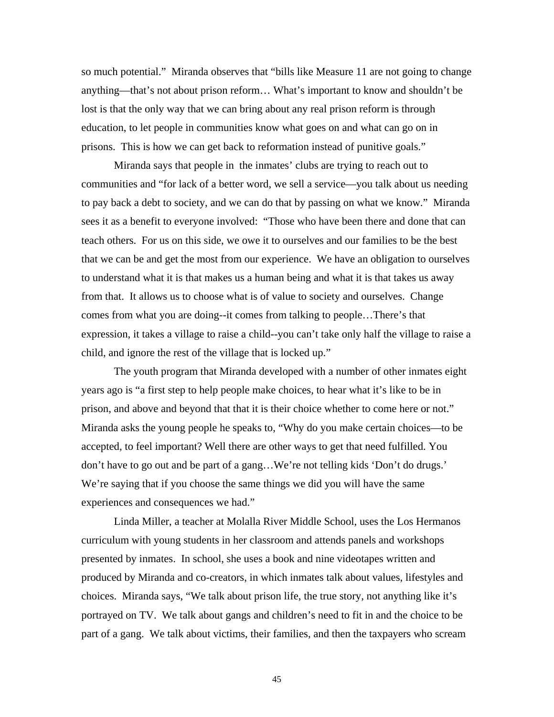so much potential." Miranda observes that "bills like Measure 11 are not going to change anything—that's not about prison reform… What's important to know and shouldn't be lost is that the only way that we can bring about any real prison reform is through education, to let people in communities know what goes on and what can go on in prisons. This is how we can get back to reformation instead of punitive goals."

Miranda says that people in the inmates' clubs are trying to reach out to communities and "for lack of a better word, we sell a service—you talk about us needing to pay back a debt to society, and we can do that by passing on what we know." Miranda sees it as a benefit to everyone involved: "Those who have been there and done that can teach others. For us on this side, we owe it to ourselves and our families to be the best that we can be and get the most from our experience. We have an obligation to ourselves to understand what it is that makes us a human being and what it is that takes us away from that. It allows us to choose what is of value to society and ourselves. Change comes from what you are doing--it comes from talking to people…There's that expression, it takes a village to raise a child--you can't take only half the village to raise a child, and ignore the rest of the village that is locked up."

The youth program that Miranda developed with a number of other inmates eight years ago is "a first step to help people make choices, to hear what it's like to be in prison, and above and beyond that that it is their choice whether to come here or not." Miranda asks the young people he speaks to, "Why do you make certain choices—to be accepted, to feel important? Well there are other ways to get that need fulfilled. You don't have to go out and be part of a gang…We're not telling kids 'Don't do drugs.' We're saying that if you choose the same things we did you will have the same experiences and consequences we had."

Linda Miller, a teacher at Molalla River Middle School, uses the Los Hermanos curriculum with young students in her classroom and attends panels and workshops presented by inmates. In school, she uses a book and nine videotapes written and produced by Miranda and co-creators, in which inmates talk about values, lifestyles and choices. Miranda says, "We talk about prison life, the true story, not anything like it's portrayed on TV. We talk about gangs and children's need to fit in and the choice to be part of a gang. We talk about victims, their families, and then the taxpayers who scream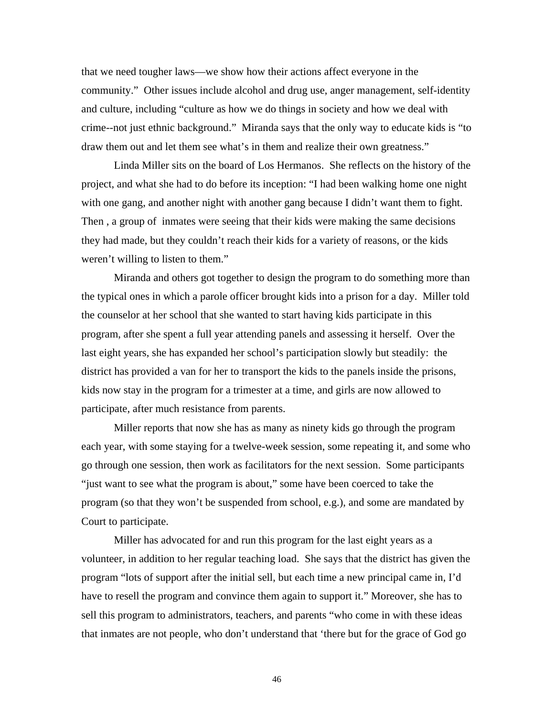that we need tougher laws—we show how their actions affect everyone in the community." Other issues include alcohol and drug use, anger management, self-identity and culture, including "culture as how we do things in society and how we deal with crime--not just ethnic background." Miranda says that the only way to educate kids is "to draw them out and let them see what's in them and realize their own greatness."

Linda Miller sits on the board of Los Hermanos. She reflects on the history of the project, and what she had to do before its inception: "I had been walking home one night with one gang, and another night with another gang because I didn't want them to fight. Then , a group of inmates were seeing that their kids were making the same decisions they had made, but they couldn't reach their kids for a variety of reasons, or the kids weren't willing to listen to them."

Miranda and others got together to design the program to do something more than the typical ones in which a parole officer brought kids into a prison for a day. Miller told the counselor at her school that she wanted to start having kids participate in this program, after she spent a full year attending panels and assessing it herself. Over the last eight years, she has expanded her school's participation slowly but steadily: the district has provided a van for her to transport the kids to the panels inside the prisons, kids now stay in the program for a trimester at a time, and girls are now allowed to participate, after much resistance from parents.

Miller reports that now she has as many as ninety kids go through the program each year, with some staying for a twelve-week session, some repeating it, and some who go through one session, then work as facilitators for the next session. Some participants "just want to see what the program is about," some have been coerced to take the program (so that they won't be suspended from school, e.g.), and some are mandated by Court to participate.

Miller has advocated for and run this program for the last eight years as a volunteer, in addition to her regular teaching load. She says that the district has given the program "lots of support after the initial sell, but each time a new principal came in, I'd have to resell the program and convince them again to support it." Moreover, she has to sell this program to administrators, teachers, and parents "who come in with these ideas that inmates are not people, who don't understand that 'there but for the grace of God go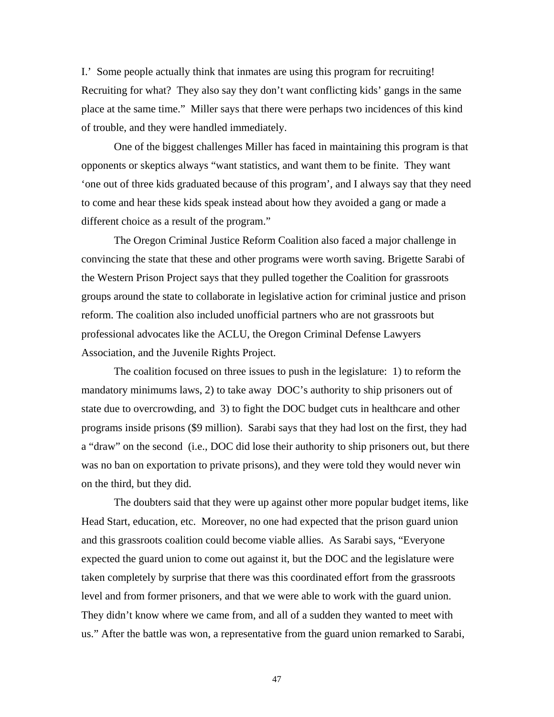I.' Some people actually think that inmates are using this program for recruiting! Recruiting for what? They also say they don't want conflicting kids' gangs in the same place at the same time." Miller says that there were perhaps two incidences of this kind of trouble, and they were handled immediately.

One of the biggest challenges Miller has faced in maintaining this program is that opponents or skeptics always "want statistics, and want them to be finite. They want 'one out of three kids graduated because of this program', and I always say that they need to come and hear these kids speak instead about how they avoided a gang or made a different choice as a result of the program."

The Oregon Criminal Justice Reform Coalition also faced a major challenge in convincing the state that these and other programs were worth saving. Brigette Sarabi of the Western Prison Project says that they pulled together the Coalition for grassroots groups around the state to collaborate in legislative action for criminal justice and prison reform. The coalition also included unofficial partners who are not grassroots but professional advocates like the ACLU, the Oregon Criminal Defense Lawyers Association, and the Juvenile Rights Project.

The coalition focused on three issues to push in the legislature: 1) to reform the mandatory minimums laws, 2) to take away DOC's authority to ship prisoners out of state due to overcrowding, and 3) to fight the DOC budget cuts in healthcare and other programs inside prisons (\$9 million). Sarabi says that they had lost on the first, they had a "draw" on the second (i.e., DOC did lose their authority to ship prisoners out, but there was no ban on exportation to private prisons), and they were told they would never win on the third, but they did.

The doubters said that they were up against other more popular budget items, like Head Start, education, etc. Moreover, no one had expected that the prison guard union and this grassroots coalition could become viable allies. As Sarabi says, "Everyone expected the guard union to come out against it, but the DOC and the legislature were taken completely by surprise that there was this coordinated effort from the grassroots level and from former prisoners, and that we were able to work with the guard union. They didn't know where we came from, and all of a sudden they wanted to meet with us." After the battle was won, a representative from the guard union remarked to Sarabi,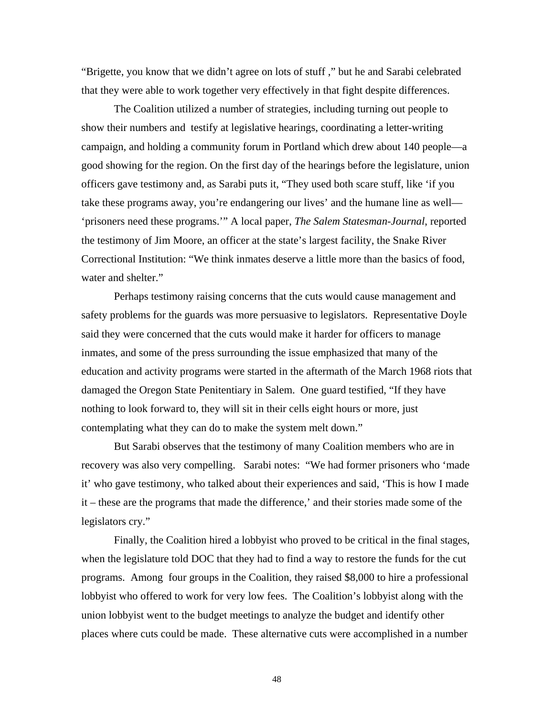"Brigette, you know that we didn't agree on lots of stuff ," but he and Sarabi celebrated that they were able to work together very effectively in that fight despite differences.

The Coalition utilized a number of strategies, including turning out people to show their numbers and testify at legislative hearings, coordinating a letter-writing campaign, and holding a community forum in Portland which drew about 140 people—a good showing for the region. On the first day of the hearings before the legislature, union officers gave testimony and, as Sarabi puts it, "They used both scare stuff, like 'if you take these programs away, you're endangering our lives' and the humane line as well— 'prisoners need these programs.'" A local paper, *The Salem Statesman-Journal*, reported the testimony of Jim Moore, an officer at the state's largest facility, the Snake River Correctional Institution: "We think inmates deserve a little more than the basics of food, water and shelter."

Perhaps testimony raising concerns that the cuts would cause management and safety problems for the guards was more persuasive to legislators. Representative Doyle said they were concerned that the cuts would make it harder for officers to manage inmates, and some of the press surrounding the issue emphasized that many of the education and activity programs were started in the aftermath of the March 1968 riots that damaged the Oregon State Penitentiary in Salem. One guard testified, "If they have nothing to look forward to, they will sit in their cells eight hours or more, just contemplating what they can do to make the system melt down."

But Sarabi observes that the testimony of many Coalition members who are in recovery was also very compelling. Sarabi notes: "We had former prisoners who 'made it' who gave testimony, who talked about their experiences and said, 'This is how I made it – these are the programs that made the difference,' and their stories made some of the legislators cry."

Finally, the Coalition hired a lobbyist who proved to be critical in the final stages, when the legislature told DOC that they had to find a way to restore the funds for the cut programs. Among four groups in the Coalition, they raised \$8,000 to hire a professional lobbyist who offered to work for very low fees. The Coalition's lobbyist along with the union lobbyist went to the budget meetings to analyze the budget and identify other places where cuts could be made. These alternative cuts were accomplished in a number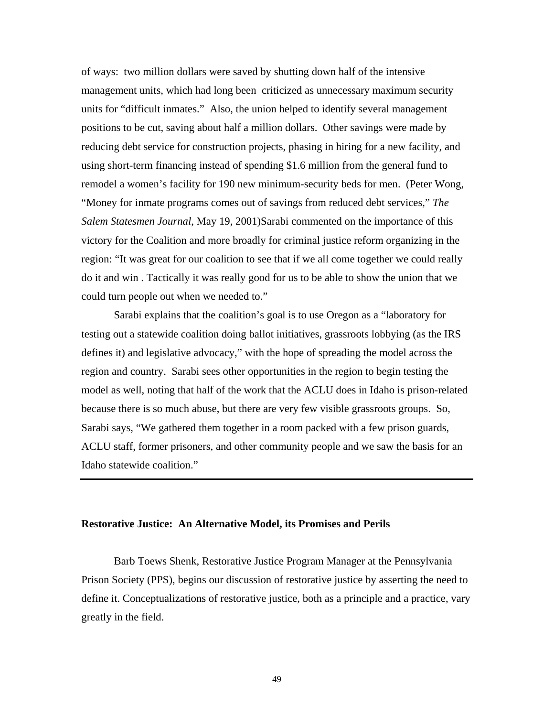of ways: two million dollars were saved by shutting down half of the intensive management units, which had long been criticized as unnecessary maximum security units for "difficult inmates." Also, the union helped to identify several management positions to be cut, saving about half a million dollars. Other savings were made by reducing debt service for construction projects, phasing in hiring for a new facility, and using short-term financing instead of spending \$1.6 million from the general fund to remodel a women's facility for 190 new minimum-security beds for men. (Peter Wong, "Money for inmate programs comes out of savings from reduced debt services," *The Salem Statesmen Journal*, May 19, 2001)Sarabi commented on the importance of this victory for the Coalition and more broadly for criminal justice reform organizing in the region: "It was great for our coalition to see that if we all come together we could really do it and win . Tactically it was really good for us to be able to show the union that we could turn people out when we needed to."

Sarabi explains that the coalition's goal is to use Oregon as a "laboratory for testing out a statewide coalition doing ballot initiatives, grassroots lobbying (as the IRS defines it) and legislative advocacy," with the hope of spreading the model across the region and country. Sarabi sees other opportunities in the region to begin testing the model as well, noting that half of the work that the ACLU does in Idaho is prison-related because there is so much abuse, but there are very few visible grassroots groups. So, Sarabi says, "We gathered them together in a room packed with a few prison guards, ACLU staff, former prisoners, and other community people and we saw the basis for an Idaho statewide coalition."

### **Restorative Justice: An Alternative Model, its Promises and Perils**

Barb Toews Shenk, Restorative Justice Program Manager at the Pennsylvania Prison Society (PPS), begins our discussion of restorative justice by asserting the need to define it. Conceptualizations of restorative justice, both as a principle and a practice, vary greatly in the field.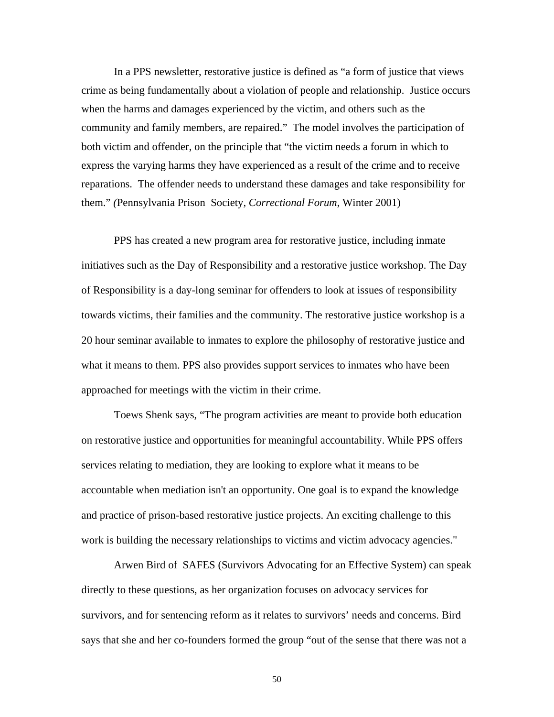In a PPS newsletter, restorative justice is defined as "a form of justice that views crime as being fundamentally about a violation of people and relationship. Justice occurs when the harms and damages experienced by the victim, and others such as the community and family members, are repaired." The model involves the participation of both victim and offender, on the principle that "the victim needs a forum in which to express the varying harms they have experienced as a result of the crime and to receive reparations. The offender needs to understand these damages and take responsibility for them." *(*Pennsylvania Prison Society*, Correctional Forum*, Winter 2001)

PPS has created a new program area for restorative justice, including inmate initiatives such as the Day of Responsibility and a restorative justice workshop. The Day of Responsibility is a day-long seminar for offenders to look at issues of responsibility towards victims, their families and the community. The restorative justice workshop is a 20 hour seminar available to inmates to explore the philosophy of restorative justice and what it means to them. PPS also provides support services to inmates who have been approached for meetings with the victim in their crime.

Toews Shenk says, "The program activities are meant to provide both education on restorative justice and opportunities for meaningful accountability. While PPS offers services relating to mediation, they are looking to explore what it means to be accountable when mediation isn't an opportunity. One goal is to expand the knowledge and practice of prison-based restorative justice projects. An exciting challenge to this work is building the necessary relationships to victims and victim advocacy agencies."

Arwen Bird of SAFES (Survivors Advocating for an Effective System) can speak directly to these questions, as her organization focuses on advocacy services for survivors, and for sentencing reform as it relates to survivors' needs and concerns. Bird says that she and her co-founders formed the group "out of the sense that there was not a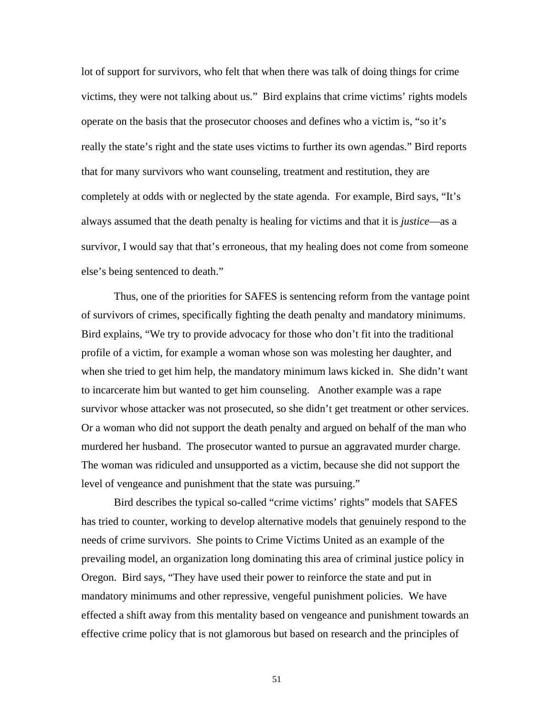lot of support for survivors, who felt that when there was talk of doing things for crime victims, they were not talking about us." Bird explains that crime victims' rights models operate on the basis that the prosecutor chooses and defines who a victim is, "so it's really the state's right and the state uses victims to further its own agendas." Bird reports that for many survivors who want counseling, treatment and restitution, they are completely at odds with or neglected by the state agenda. For example, Bird says, "It's always assumed that the death penalty is healing for victims and that it is *justice*—as a survivor, I would say that that's erroneous, that my healing does not come from someone else's being sentenced to death."

Thus, one of the priorities for SAFES is sentencing reform from the vantage point of survivors of crimes, specifically fighting the death penalty and mandatory minimums. Bird explains, "We try to provide advocacy for those who don't fit into the traditional profile of a victim, for example a woman whose son was molesting her daughter, and when she tried to get him help, the mandatory minimum laws kicked in. She didn't want to incarcerate him but wanted to get him counseling. Another example was a rape survivor whose attacker was not prosecuted, so she didn't get treatment or other services. Or a woman who did not support the death penalty and argued on behalf of the man who murdered her husband. The prosecutor wanted to pursue an aggravated murder charge. The woman was ridiculed and unsupported as a victim, because she did not support the level of vengeance and punishment that the state was pursuing."

Bird describes the typical so-called "crime victims' rights" models that SAFES has tried to counter, working to develop alternative models that genuinely respond to the needs of crime survivors. She points to Crime Victims United as an example of the prevailing model, an organization long dominating this area of criminal justice policy in Oregon. Bird says, "They have used their power to reinforce the state and put in mandatory minimums and other repressive, vengeful punishment policies. We have effected a shift away from this mentality based on vengeance and punishment towards an effective crime policy that is not glamorous but based on research and the principles of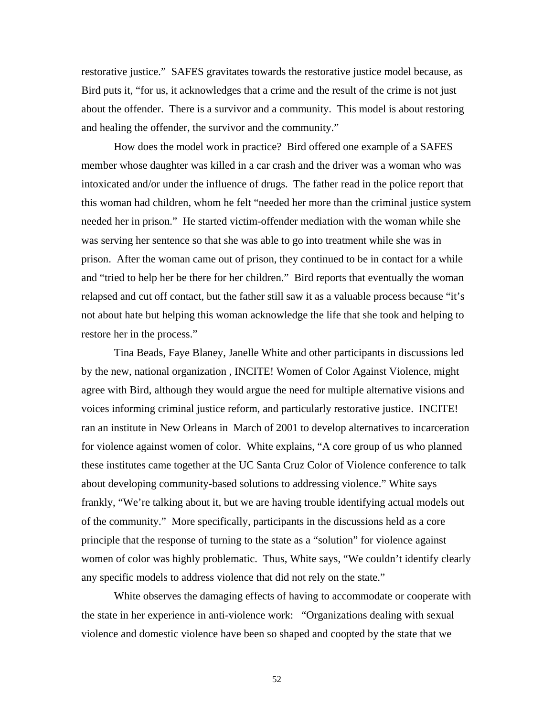restorative justice." SAFES gravitates towards the restorative justice model because, as Bird puts it, "for us, it acknowledges that a crime and the result of the crime is not just about the offender. There is a survivor and a community. This model is about restoring and healing the offender, the survivor and the community."

How does the model work in practice? Bird offered one example of a SAFES member whose daughter was killed in a car crash and the driver was a woman who was intoxicated and/or under the influence of drugs. The father read in the police report that this woman had children, whom he felt "needed her more than the criminal justice system needed her in prison." He started victim-offender mediation with the woman while she was serving her sentence so that she was able to go into treatment while she was in prison. After the woman came out of prison, they continued to be in contact for a while and "tried to help her be there for her children." Bird reports that eventually the woman relapsed and cut off contact, but the father still saw it as a valuable process because "it's not about hate but helping this woman acknowledge the life that she took and helping to restore her in the process."

Tina Beads, Faye Blaney, Janelle White and other participants in discussions led by the new, national organization , INCITE! Women of Color Against Violence, might agree with Bird, although they would argue the need for multiple alternative visions and voices informing criminal justice reform, and particularly restorative justice. INCITE! ran an institute in New Orleans in March of 2001 to develop alternatives to incarceration for violence against women of color. White explains, "A core group of us who planned these institutes came together at the UC Santa Cruz Color of Violence conference to talk about developing community-based solutions to addressing violence." White says frankly, "We're talking about it, but we are having trouble identifying actual models out of the community." More specifically, participants in the discussions held as a core principle that the response of turning to the state as a "solution" for violence against women of color was highly problematic. Thus, White says, "We couldn't identify clearly any specific models to address violence that did not rely on the state."

White observes the damaging effects of having to accommodate or cooperate with the state in her experience in anti-violence work: "Organizations dealing with sexual violence and domestic violence have been so shaped and coopted by the state that we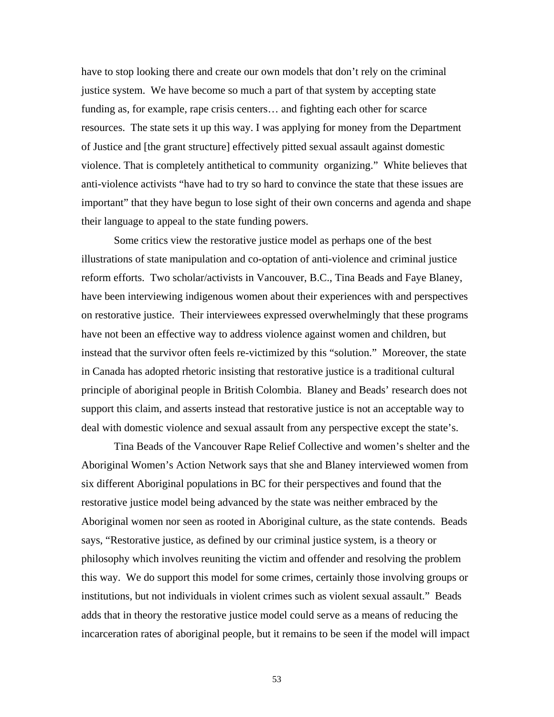have to stop looking there and create our own models that don't rely on the criminal justice system. We have become so much a part of that system by accepting state funding as, for example, rape crisis centers… and fighting each other for scarce resources. The state sets it up this way. I was applying for money from the Department of Justice and [the grant structure] effectively pitted sexual assault against domestic violence. That is completely antithetical to community organizing." White believes that anti-violence activists "have had to try so hard to convince the state that these issues are important" that they have begun to lose sight of their own concerns and agenda and shape their language to appeal to the state funding powers.

Some critics view the restorative justice model as perhaps one of the best illustrations of state manipulation and co-optation of anti-violence and criminal justice reform efforts. Two scholar/activists in Vancouver, B.C., Tina Beads and Faye Blaney, have been interviewing indigenous women about their experiences with and perspectives on restorative justice. Their interviewees expressed overwhelmingly that these programs have not been an effective way to address violence against women and children, but instead that the survivor often feels re-victimized by this "solution." Moreover, the state in Canada has adopted rhetoric insisting that restorative justice is a traditional cultural principle of aboriginal people in British Colombia. Blaney and Beads' research does not support this claim, and asserts instead that restorative justice is not an acceptable way to deal with domestic violence and sexual assault from any perspective except the state's.

Tina Beads of the Vancouver Rape Relief Collective and women's shelter and the Aboriginal Women's Action Network says that she and Blaney interviewed women from six different Aboriginal populations in BC for their perspectives and found that the restorative justice model being advanced by the state was neither embraced by the Aboriginal women nor seen as rooted in Aboriginal culture, as the state contends. Beads says, "Restorative justice, as defined by our criminal justice system, is a theory or philosophy which involves reuniting the victim and offender and resolving the problem this way. We do support this model for some crimes, certainly those involving groups or institutions, but not individuals in violent crimes such as violent sexual assault." Beads adds that in theory the restorative justice model could serve as a means of reducing the incarceration rates of aboriginal people, but it remains to be seen if the model will impact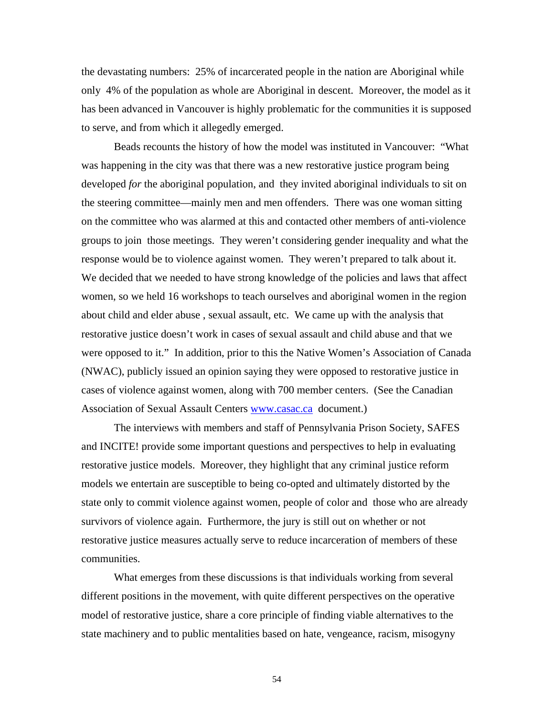the devastating numbers: 25% of incarcerated people in the nation are Aboriginal while only 4% of the population as whole are Aboriginal in descent. Moreover, the model as it has been advanced in Vancouver is highly problematic for the communities it is supposed to serve, and from which it allegedly emerged.

Beads recounts the history of how the model was instituted in Vancouver: "What was happening in the city was that there was a new restorative justice program being developed *for* the aboriginal population, and they invited aboriginal individuals to sit on the steering committee—mainly men and men offenders. There was one woman sitting on the committee who was alarmed at this and contacted other members of anti-violence groups to join those meetings. They weren't considering gender inequality and what the response would be to violence against women. They weren't prepared to talk about it. We decided that we needed to have strong knowledge of the policies and laws that affect women, so we held 16 workshops to teach ourselves and aboriginal women in the region about child and elder abuse , sexual assault, etc. We came up with the analysis that restorative justice doesn't work in cases of sexual assault and child abuse and that we were opposed to it." In addition, prior to this the Native Women's Association of Canada (NWAC), publicly issued an opinion s[aying they were](http://www.casac.ca/) opposed to restorative justice in cases of violence against women, along with 700 member centers. (See the Canadian Association of Sexual Assault Centers www.casac.ca document.)

The interviews with members and staff of Pennsylvania Prison Society, SAFES and INCITE! provide some important questions and perspectives to help in evaluating restorative justice models. Moreover, they highlight that any criminal justice reform models we entertain are susceptible to being co-opted and ultimately distorted by the state only to commit violence against women, people of color and those who are already survivors of violence again. Furthermore, the jury is still out on whether or not restorative justice measures actually serve to reduce incarceration of members of these communities.

What emerges from these discussions is that individuals working from several different positions in the movement, with quite different perspectives on the operative model of restorative justice, share a core principle of finding viable alternatives to the state machinery and to public mentalities based on hate, vengeance, racism, misogyny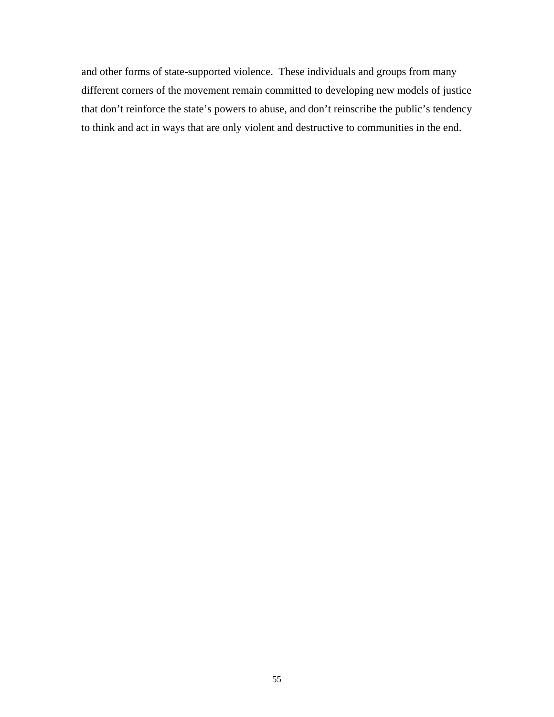and other forms of state-supported violence. These individuals and groups from many different corners of the movement remain committed to developing new models of justice that don't reinforce the state's powers to abuse, and don't reinscribe the public's tendency to think and act in ways that are only violent and destructive to communities in the end.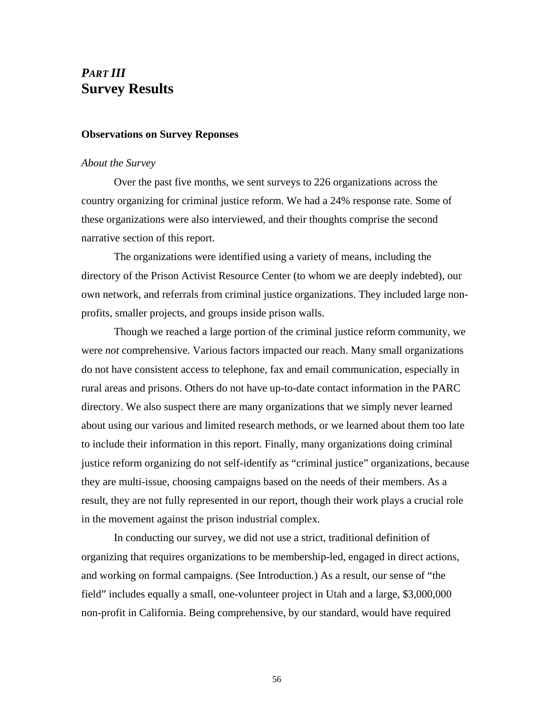## *PART III* **Survey Results**

### **Observations on Survey Reponses**

### *About the Survey*

Over the past five months, we sent surveys to 226 organizations across the country organizing for criminal justice reform. We had a 24% response rate. Some of these organizations were also interviewed, and their thoughts comprise the second narrative section of this report.

The organizations were identified using a variety of means, including the directory of the Prison Activist Resource Center (to whom we are deeply indebted), our own network, and referrals from criminal justice organizations. They included large nonprofits, smaller projects, and groups inside prison walls.

Though we reached a large portion of the criminal justice reform community, we were *not* comprehensive. Various factors impacted our reach. Many small organizations do not have consistent access to telephone, fax and email communication, especially in rural areas and prisons. Others do not have up-to-date contact information in the PARC directory. We also suspect there are many organizations that we simply never learned about using our various and limited research methods, or we learned about them too late to include their information in this report. Finally, many organizations doing criminal justice reform organizing do not self-identify as "criminal justice" organizations, because they are multi-issue, choosing campaigns based on the needs of their members. As a result, they are not fully represented in our report, though their work plays a crucial role in the movement against the prison industrial complex.

In conducting our survey, we did not use a strict, traditional definition of organizing that requires organizations to be membership-led, engaged in direct actions, and working on formal campaigns. (See Introduction.) As a result, our sense of "the field" includes equally a small, one-volunteer project in Utah and a large, \$3,000,000 non-profit in California. Being comprehensive, by our standard, would have required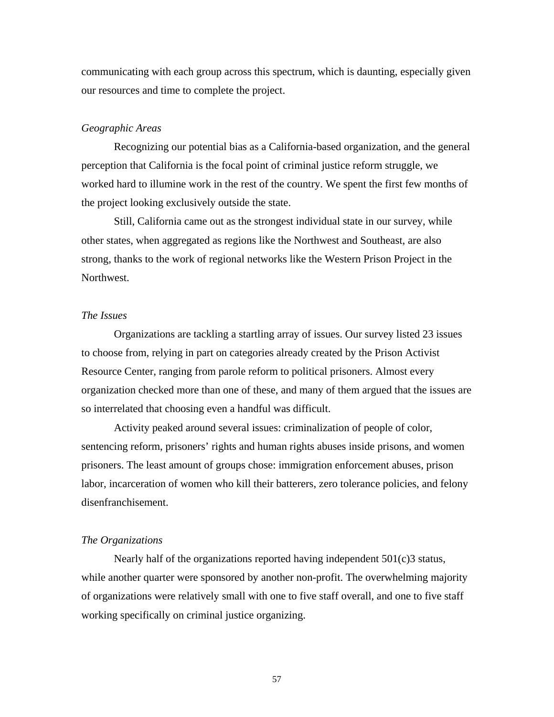communicating with each group across this spectrum, which is daunting, especially given our resources and time to complete the project.

### *Geographic Areas*

Recognizing our potential bias as a California-based organization, and the general perception that California is the focal point of criminal justice reform struggle, we worked hard to illumine work in the rest of the country. We spent the first few months of the project looking exclusively outside the state.

Still, California came out as the strongest individual state in our survey, while other states, when aggregated as regions like the Northwest and Southeast, are also strong, thanks to the work of regional networks like the Western Prison Project in the Northwest.

### *The Issues*

Organizations are tackling a startling array of issues. Our survey listed 23 issues to choose from, relying in part on categories already created by the Prison Activist Resource Center, ranging from parole reform to political prisoners. Almost every organization checked more than one of these, and many of them argued that the issues are so interrelated that choosing even a handful was difficult.

Activity peaked around several issues: criminalization of people of color, sentencing reform, prisoners' rights and human rights abuses inside prisons, and women prisoners. The least amount of groups chose: immigration enforcement abuses, prison labor, incarceration of women who kill their batterers, zero tolerance policies, and felony disenfranchisement.

### *The Organizations*

Nearly half of the organizations reported having independent  $501(c)$ 3 status, while another quarter were sponsored by another non-profit. The overwhelming majority of organizations were relatively small with one to five staff overall, and one to five staff working specifically on criminal justice organizing.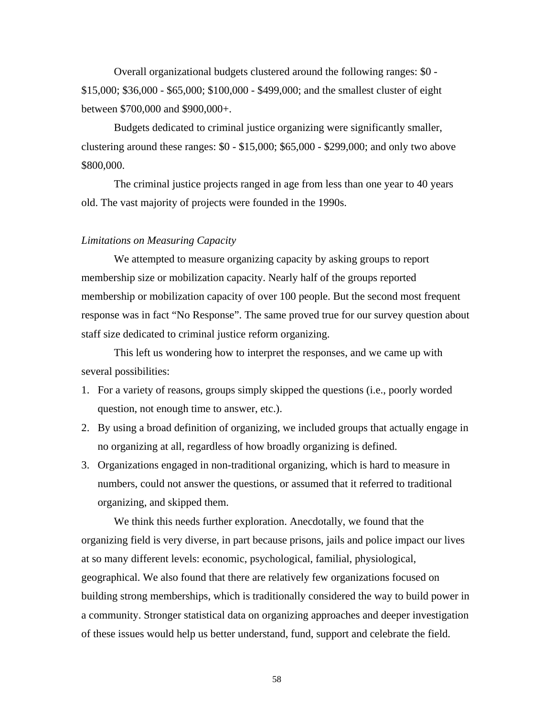Overall organizational budgets clustered around the following ranges: \$0 - \$15,000; \$36,000 - \$65,000; \$100,000 - \$499,000; and the smallest cluster of eight between \$700,000 and \$900,000+.

Budgets dedicated to criminal justice organizing were significantly smaller, clustering around these ranges: \$0 - \$15,000; \$65,000 - \$299,000; and only two above \$800,000.

The criminal justice projects ranged in age from less than one year to 40 years old. The vast majority of projects were founded in the 1990s.

### *Limitations on Measuring Capacity*

We attempted to measure organizing capacity by asking groups to report membership size or mobilization capacity. Nearly half of the groups reported membership or mobilization capacity of over 100 people. But the second most frequent response was in fact "No Response". The same proved true for our survey question about staff size dedicated to criminal justice reform organizing.

This left us wondering how to interpret the responses, and we came up with several possibilities:

- 1. For a variety of reasons, groups simply skipped the questions (i.e., poorly worded question, not enough time to answer, etc.).
- 2. By using a broad definition of organizing, we included groups that actually engage in no organizing at all, regardless of how broadly organizing is defined.
- 3. Organizations engaged in non-traditional organizing, which is hard to measure in numbers, could not answer the questions, or assumed that it referred to traditional organizing, and skipped them.

We think this needs further exploration. Anecdotally, we found that the organizing field is very diverse, in part because prisons, jails and police impact our lives at so many different levels: economic, psychological, familial, physiological, geographical. We also found that there are relatively few organizations focused on building strong memberships, which is traditionally considered the way to build power in a community. Stronger statistical data on organizing approaches and deeper investigation of these issues would help us better understand, fund, support and celebrate the field.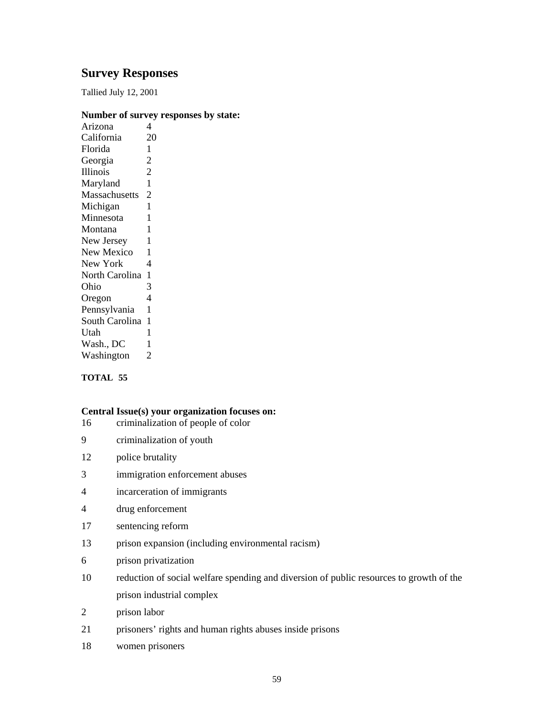## **Survey Responses**

Tallied July 12, 2001

### **Number of survey responses by state:**

| Arizona         | 4              |
|-----------------|----------------|
| California      | 20             |
| Florida         | 1              |
| Georgia         | 2              |
| <b>Illinois</b> | $\overline{2}$ |
| Maryland        | 1              |
| Massachusetts   | 2              |
| Michigan        | 1              |
| Minnesota       | 1              |
| Montana         | 1              |
| New Jersey      | 1              |
| New Mexico      | 1              |
| New York        | 4              |
| North Carolina  | 1              |
| Ohio            | 3              |
| Oregon          | $\overline{4}$ |
| Pennsylvania    | 1              |
| South Carolina  | 1              |
| Utah            | 1              |
| Wash., DC       | 1              |
| Washington      | 2              |
|                 |                |

### **TOTAL 55**

### **Central Issue(s) your organization focuses on:**

- 16 criminalization of people of color
- 9 criminalization of youth
- 12 police brutality
- 3 immigration enforcement abuses
- 4 incarceration of immigrants
- 4 drug enforcement
- 17 sentencing reform
- 13 prison expansion (including environmental racism)
- 6 prison privatization
- 10 reduction of social welfare spending and diversion of public resources to growth of the prison industrial complex
- 2 prison labor
- 21 prisoners' rights and human rights abuses inside prisons
- 18 women prisoners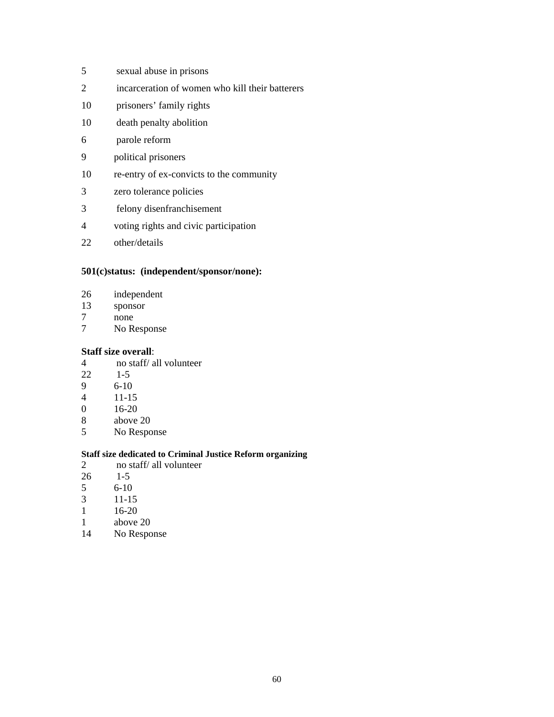- 5 sexual abuse in prisons
- 2 incarceration of women who kill their batterers
- 10 prisoners' family rights
- 10 death penalty abolition
- 6 parole reform
- 9 political prisoners
- 10 re-entry of ex-convicts to the community
- 3 zero tolerance policies
- 3 felony disenfranchisement
- 4 voting rights and civic participation
- 22 other/details

### **501(c)status: (independent/sponsor/none):**

- 26 independent<br>13 sponsor
- sponsor
- 7 none
- 7 No Response

### **Staff size overall**:

- 4 no staff/ all volunteer<br> $22 \t 1-5$
- $1-5$
- 9 6-10
- 4 11-15
- $16 20$
- 8 above 20
- 5 No Response

### **Staff size dedicated to Criminal Justice Reform organizing**

- 2 no staff/ all volunteer
- 26 1-5
- $\begin{array}{cc} 5 & 6-10 \\ 3 & 11-15 \end{array}$
- $11 15$
- 1 16-20
- 1 above 20
- 14 No Response